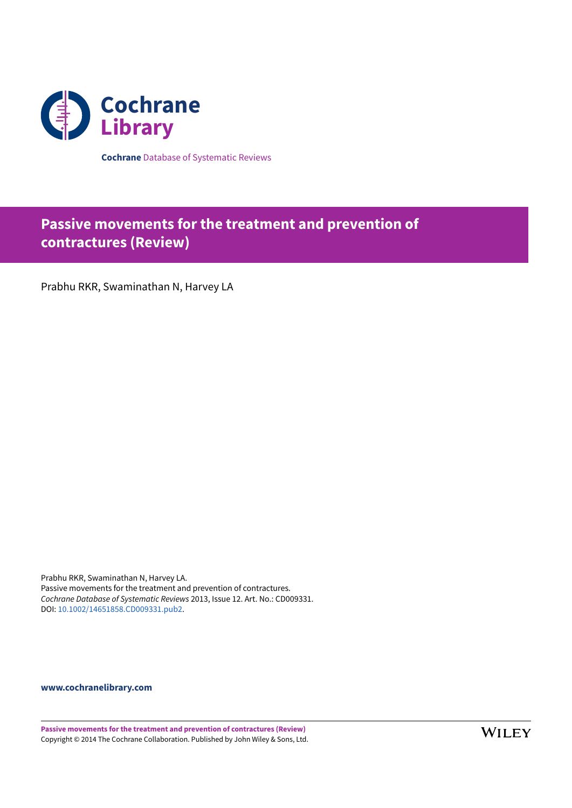

**Cochrane** Database of Systematic Reviews

# **Passive movements for the treatment and prevention of contractures (Review)**

Prabhu RKR, Swaminathan N, Harvey LA

Prabhu RKR, Swaminathan N, Harvey LA. Passive movements for the treatment and prevention of contractures. *Cochrane Database of Systematic Reviews* 2013, Issue 12. Art. No.: CD009331. DOI: [10.1002/14651858.CD009331.pub2.](https://doi.org/10.1002%2F14651858.CD009331.pub2)

**[www.cochranelibrary.com](https://www.cochranelibrary.com)**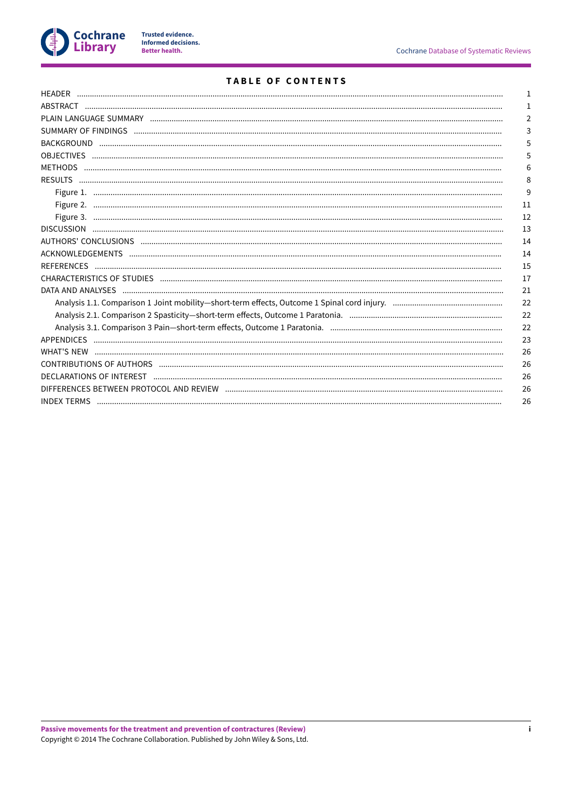

# TABLE OF CONTENTS

|                                                                                                                | ı.             |
|----------------------------------------------------------------------------------------------------------------|----------------|
|                                                                                                                | $\overline{2}$ |
|                                                                                                                | 3              |
|                                                                                                                | 5              |
|                                                                                                                | 5              |
|                                                                                                                | 6              |
|                                                                                                                | 8              |
|                                                                                                                | 9              |
|                                                                                                                | 11             |
|                                                                                                                | 12             |
|                                                                                                                | 13             |
|                                                                                                                | 14             |
|                                                                                                                | 14             |
|                                                                                                                | 15             |
|                                                                                                                | 17             |
|                                                                                                                | 21             |
|                                                                                                                | 22             |
|                                                                                                                | 22             |
|                                                                                                                | 22             |
|                                                                                                                | 23             |
| WHAT'S NEW www.communical.com/communical.com/communical.com/communical.com/communical.com/communical.com/commu | 26             |
|                                                                                                                | 26             |
|                                                                                                                | 26             |
|                                                                                                                | 26             |
|                                                                                                                | 26             |
|                                                                                                                |                |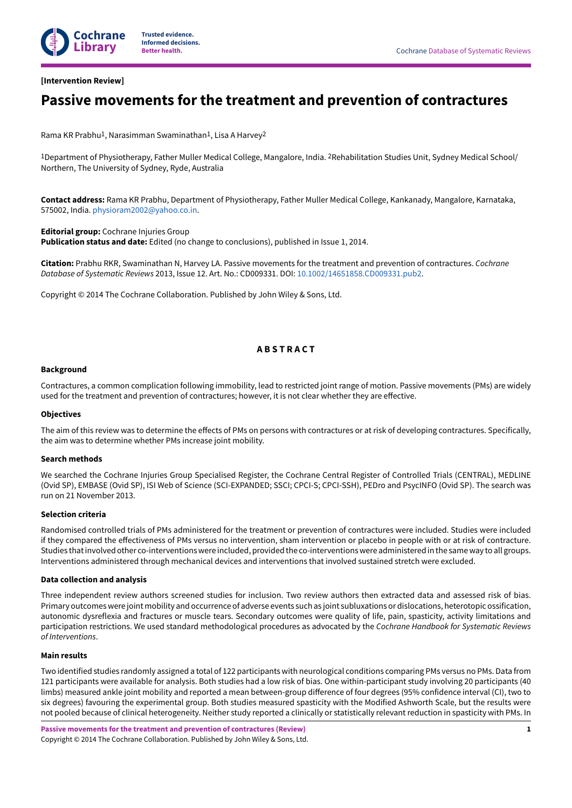

# <span id="page-2-0"></span>**[Intervention Review]**

# **Passive movements for the treatment and prevention of contractures**

Rama KR Prabhu1, Narasimman Swaminathan1, Lisa A Harvey2

1Department of Physiotherapy, Father Muller Medical College, Mangalore, India. 2Rehabilitation Studies Unit, Sydney Medical School/ Northern, The University of Sydney, Ryde, Australia

**Contact address:** Rama KR Prabhu, Department of Physiotherapy, Father Muller Medical College, Kankanady, Mangalore, Karnataka, 575002, India. [physioram2002@yahoo.co.in](mailto:physioram2002@yahoo.co.in).

**Editorial group:** Cochrane Injuries Group **Publication status and date:** Edited (no change to conclusions), published in Issue 1, 2014.

**Citation:** Prabhu RKR, Swaminathan N, Harvey LA. Passive movements for the treatment and prevention of contractures. *Cochrane Database of Systematic Reviews* 2013, Issue 12. Art. No.: CD009331. DOI: [10.1002/14651858.CD009331.pub2.](https://doi.org/10.1002%2F14651858.CD009331.pub2)

Copyright © 2014 The Cochrane Collaboration. Published by John Wiley & Sons, Ltd.

# **A B S T R A C T**

#### <span id="page-2-1"></span>**Background**

Contractures, a common complication following immobility, lead to restricted joint range of motion. Passive movements (PMs) are widely used for the treatment and prevention of contractures; however, it is not clear whether they are effective.

#### **Objectives**

The aim of this review was to determine the effects of PMs on persons with contractures or at risk of developing contractures. Specifically, the aim was to determine whether PMs increase joint mobility.

#### **Search methods**

We searched the Cochrane Injuries Group Specialised Register, the Cochrane Central Register of Controlled Trials (CENTRAL), MEDLINE (Ovid SP), EMBASE (Ovid SP), ISI Web of Science (SCI-EXPANDED; SSCI; CPCI-S; CPCI-SSH), PEDro and PsycINFO (Ovid SP). The search was run on 21 November 2013.

#### **Selection criteria**

Randomised controlled trials of PMs administered for the treatment or prevention of contractures were included. Studies were included if they compared the effectiveness of PMs versus no intervention, sham intervention or placebo in people with or at risk of contracture. Studies thatinvolved other co-interventionswere included, provided the co-interventionswere administered in the sameway to all groups. Interventions administered through mechanical devices and interventions that involved sustained stretch were excluded.

#### **Data collection and analysis**

Three independent review authors screened studies for inclusion. Two review authors then extracted data and assessed risk of bias. Primary outcomes were joint mobility and occurrence of adverse events such as joint subluxations or dislocations, heterotopic ossification, autonomic dysreflexia and fractures or muscle tears. Secondary outcomes were quality of life, pain, spasticity, activity limitations and participation restrictions. We used standard methodological procedures as advocated by the *Cochrane Handbook for Systematic Reviews of Interventions*.

# **Main results**

Two identified studies randomly assigned a total of 122 participants with neurological conditions comparing PMs versus no PMs. Data from 121 participants were available for analysis. Both studies had a low risk of bias. One within-participant study involving 20 participants (40 limbs) measured ankle joint mobility and reported a mean between-group difference of four degrees (95% confidence interval (CI), two to six degrees) favouring the experimental group. Both studies measured spasticity with the Modified Ashworth Scale, but the results were not pooled because of clinical heterogeneity. Neither study reported a clinically or statistically relevant reduction in spasticity with PMs. In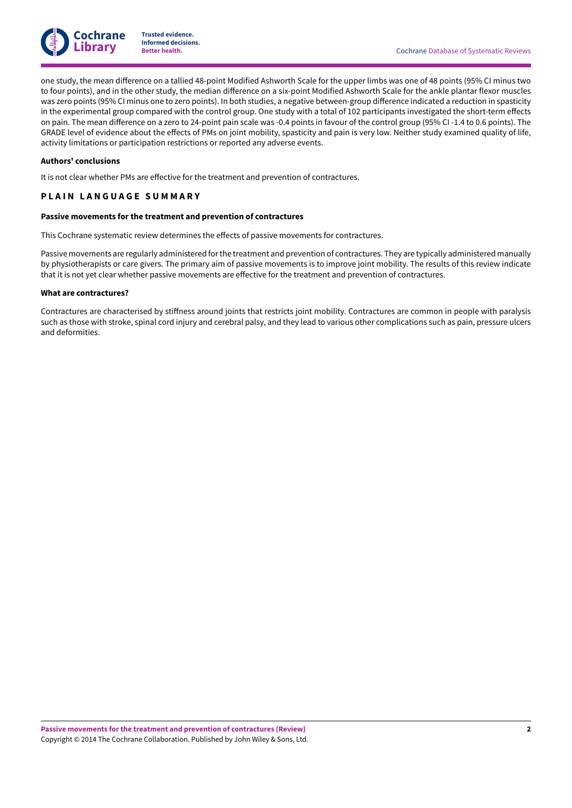

one study, the mean difference on a tallied 48-point Modified Ashworth Scale for the upper limbs was one of 48 points (95% CI minus two to four points), and in the other study, the median difference on a six-point Modified Ashworth Scale for the ankle plantar flexor muscles was zero points (95% CI minus one to zero points). In both studies, a negative between-group difference indicated a reduction in spasticity in the experimental group compared with the control group. One study with a total of 102 participants investigated the short-term effects on pain. The mean difference on a zero to 24-point pain scale was -0.4 points in favour of the control group (95% CI -1.4 to 0.6 points). The GRADE level of evidence about the effects of PMs on joint mobility, spasticity and pain is very low. Neither study examined quality of life, activity limitations or participation restrictions or reported any adverse events.

### **Authors' conclusions**

It is not clear whether PMs are effective for the treatment and prevention of contractures.

# <span id="page-3-0"></span>**P L A I N L A N G U A G E S U M M A R Y**

### **Passive movements for the treatment and prevention of contractures**

This Cochrane systematic review determines the effects of passive movements for contractures.

Passive movements are regularly administered forthe treatment and prevention of contractures. They are typically administered manually by physiotherapists or care givers. The primary aim of passive movements is to improve joint mobility. The results of this review indicate that it is not yet clear whether passive movements are effective for the treatment and prevention of contractures.

#### **What are contractures?**

Contractures are characterised by stiffness around joints that restricts joint mobility. Contractures are common in people with paralysis such as those with stroke, spinal cord injury and cerebral palsy, and they lead to various other complications such as pain, pressure ulcers and deformities.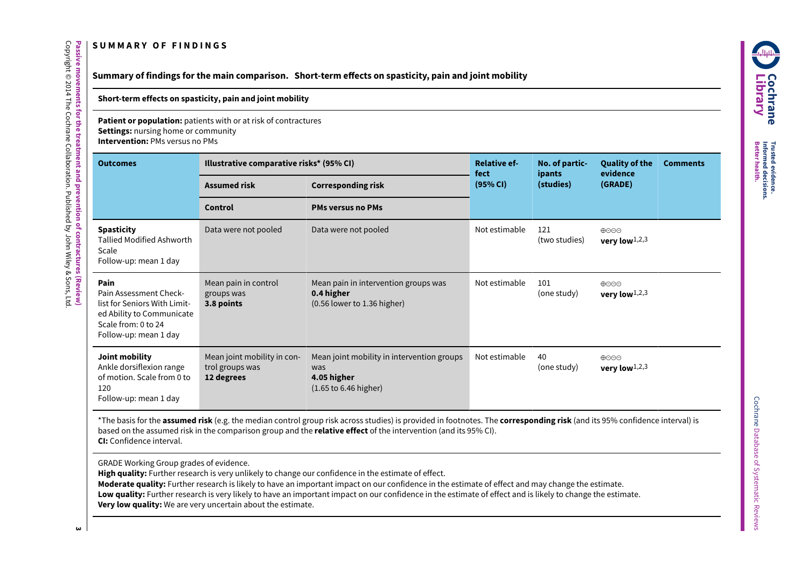# **S U M M A R Y O F F I N D I N G S**

# **Summary of findings for the main comparison. Short-term e8ects on spasticity, pain and joint mobility**

# **Short-term effects on spasticity, pain and joint mobility**

**Patient or population:** patients with or at risk of contractures **Settings:** nursing home or community **Intervention:** PMs versus no PMs

<span id="page-4-1"></span><span id="page-4-0"></span>

| <b>Outcomes</b>                                                                                                                                                                                                                                                                                                          |                                                                                                                                                                                                                                                                                                     | Illustrative comparative risks* (95% CI)                                                  |                  |                      | <b>Quality of the</b><br>evidence                     | <b>Comments</b> |  |  |  |  |
|--------------------------------------------------------------------------------------------------------------------------------------------------------------------------------------------------------------------------------------------------------------------------------------------------------------------------|-----------------------------------------------------------------------------------------------------------------------------------------------------------------------------------------------------------------------------------------------------------------------------------------------------|-------------------------------------------------------------------------------------------|------------------|----------------------|-------------------------------------------------------|-----------------|--|--|--|--|
|                                                                                                                                                                                                                                                                                                                          | <b>Assumed risk</b>                                                                                                                                                                                                                                                                                 | <b>Corresponding risk</b>                                                                 | fect<br>(95% CI) | ipants<br>(studies)  | (GRADE)                                               |                 |  |  |  |  |
|                                                                                                                                                                                                                                                                                                                          | Control                                                                                                                                                                                                                                                                                             | <b>PMs versus no PMs</b>                                                                  |                  |                      |                                                       |                 |  |  |  |  |
| <b>Spasticity</b><br><b>Tallied Modified Ashworth</b><br>Scale<br>Follow-up: mean 1 day                                                                                                                                                                                                                                  | Data were not pooled                                                                                                                                                                                                                                                                                | Data were not pooled                                                                      | Not estimable    | 121<br>(two studies) | $\bigoplus$ $\bigodot$ $\bigodot$<br>very low $1,2,3$ |                 |  |  |  |  |
| Pain<br>Pain Assessment Check-<br>list for Seniors With Limit-<br>ed Ability to Communicate<br>Scale from: 0 to 24<br>Follow-up: mean 1 day                                                                                                                                                                              | Mean pain in control<br>groups was<br>3.8 points                                                                                                                                                                                                                                                    | Mean pain in intervention groups was<br>0.4 higher<br>(0.56 lower to 1.36 higher)         | Not estimable    | 101<br>(one study)   | $\bigoplus$ $\bigodot$ $\bigodot$<br>very low $1,2,3$ |                 |  |  |  |  |
| Joint mobility<br>Ankle dorsiflexion range<br>of motion. Scale from 0 to<br>120<br>Follow-up: mean 1 day                                                                                                                                                                                                                 | Mean joint mobility in con-<br>trol groups was<br>12 degrees                                                                                                                                                                                                                                        | Mean joint mobility in intervention groups<br>was<br>4.05 higher<br>(1.65 to 6.46 higher) | Not estimable    | 40<br>(one study)    | $\oplus \ominus \ominus$<br>very low $1,2,3$          |                 |  |  |  |  |
| *The basis for the assumed risk (e.g. the median control group risk across studies) is provided in footnotes. The corresponding risk (and its 95% confidence interval) is<br>based on the assumed risk in the comparison group and the relative effect of the intervention (and its 95% CI).<br>CI: Confidence interval. |                                                                                                                                                                                                                                                                                                     |                                                                                           |                  |                      |                                                       |                 |  |  |  |  |
|                                                                                                                                                                                                                                                                                                                          | GRADE Working Group grades of evidence.<br>High quality: Further research is very unlikely to change our confidence in the estimate of effect.<br>Moderate quality: Further research is likely to have an important impact on our confidence in the estimate of effect and may change the estimate. |                                                                                           |                  |                      |                                                       |                 |  |  |  |  |

**Low quality:** Further research is very likely to have an important impact on our confidence in the estimate of effect and is likely to change the estimate. **Very low quality:** We are very uncertain about the estimate.

**Trusted Better**

**Informed**

**decisions. health.**

**evidence.**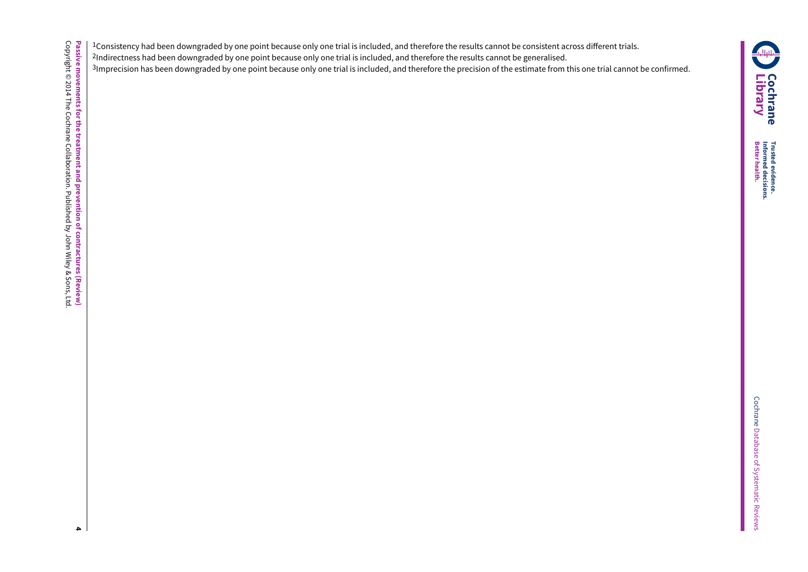<sup>1</sup>Consistency had been downgraded by one point because only one trial is included, and therefore the results cannot be consistent across different trials.

<sup>2</sup>Indirectness had been downgraded by one point because only one trial is included, and therefore the results cannot be generalised.

3Imprecision has been downgraded by one point because only one trial is included, and therefore the precision of the estimate from this one trial cannot be confirmed.

**4**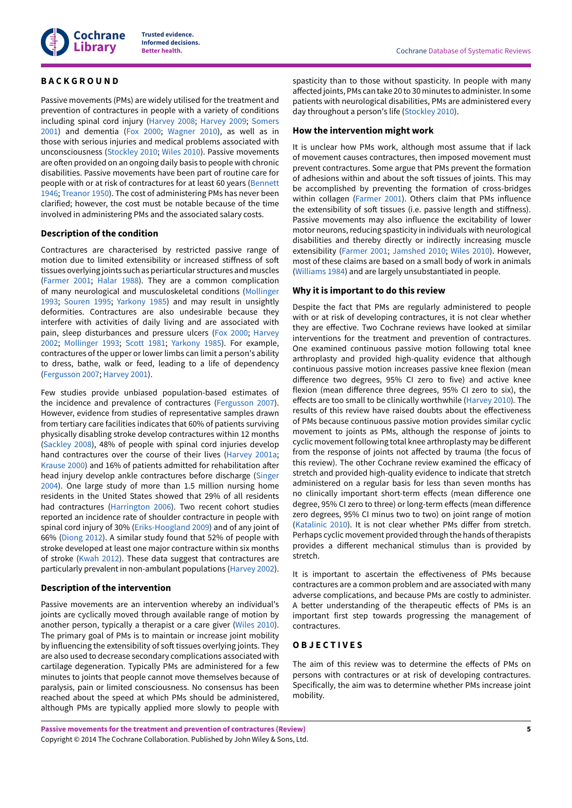

# <span id="page-6-0"></span>**B A C K G R O U N D**

Passive movements (PMs) are widely utilised for the treatment and prevention of contractures in people with a variety of conditions including spinal cord injury [\(Harvey](#page-17-0) 2008; [Harvey](#page-16-1) 2009; [Somers](#page-18-1) [2001](#page-18-1)) and dementia (Fox [2000;](#page-17-1) [Wagner](#page-18-2) 2010), as well as in those with serious injuries and medical problems associated with unconsciousness ([Stockley](#page-18-3) 2010; [Wiles 2010\)](#page-18-4). Passive movements are often provided on an ongoing daily basis to people with chronic disabilities. Passive movements have been part of routine care for people with or at risk of contractures for at least 60 years ([Bennett](#page-16-2) [1946](#page-16-2); [Treanor](#page-18-5) 1950). The cost of administering PMs has never been clarified; however, the cost must be notable because of the time involved in administering PMs and the associated salary costs.

# **Description of the condition**

Contractures are characterised by restricted passive range of motion due to limited extensibility or increased stiffness of soft tissues overlying joints such as periarticular structures and muscles [\(Farmer](#page-17-2) 2001; [Halar 1988](#page-17-3)). They are a common complication of many neurological and musculoskeletal conditions [\(Mollinger](#page-18-6) [1993](#page-18-6); [Souren](#page-18-7) 1995; [Yarkony](#page-18-8) 1985) and may result in unsightly deformities. Contractures are also undesirable because they interfere with activities of daily living and are associated with pain, sleep disturbances and pressure ulcers (Fox [2000](#page-17-1); [Harvey](#page-17-4) [2002](#page-17-4); [Mollinger](#page-18-6) 1993; [Scott](#page-18-9) 1981; [Yarkony](#page-18-8) 1985). For example, contractures of the upper or lower limbs can limit a person's ability to dress, bathe, walk or feed, leading to a life of dependency [\(Fergusson](#page-17-5) 2007; [Harvey](#page-17-6) 2001).

Few studies provide unbiased population-based estimates of the incidence and prevalence of contractures ([Fergusson](#page-17-5) 2007). However, evidence from studies of representative samples drawn from tertiary care facilities indicates that 60% of patients surviving physically disabling stroke develop contractures within 12 months [\(Sackley](#page-18-10) 2008), 48% of people with spinal cord injuries develop hand contractures over the course of their lives ([Harvey](#page-17-7) 2001a; [Krause](#page-17-8) 2000) and 16% of patients admitted for rehabilitation after head injury develop ankle contractures before discharge ([Singer](#page-18-11) [2004](#page-18-11)). One large study of more than 1.5 million nursing home residents in the United States showed that 29% of all residents had contractures [\(Harrington](#page-17-9) 2006). Two recent cohort studies reported an incidence rate of shoulder contracture in people with spinal cord injury of 30% ([Eriks-Hoogland](#page-17-10) 2009) and of any joint of 66% [\(Diong 2012\)](#page-17-11). A similar study found that 52% of people with stroke developed at least one major contracture within six months of stroke [\(Kwah](#page-17-12) 2012). These data suggest that contractures are particularly prevalent in non-ambulant populations [\(Harvey](#page-17-4) 2002).

# **Description of the intervention**

Passive movements are an intervention whereby an individual's joints are cyclically moved through available range of motion by another person, typically a therapist or a care giver [\(Wiles 2010\)](#page-18-4). The primary goal of PMs is to maintain or increase joint mobility by influencing the extensibility of soft tissues overlying joints. They are also used to decrease secondary complications associated with cartilage degeneration. Typically PMs are administered for a few minutes to joints that people cannot move themselves because of paralysis, pain or limited consciousness. No consensus has been reached about the speed at which PMs should be administered, although PMs are typically applied more slowly to people with

spasticity than to those without spasticity. In people with many affected joints, PMs can take 20 to 30 minutes to administer. In some patients with neurological disabilities, PMs are administered every day throughout a person's life [\(Stockley](#page-18-3) 2010).

# **How the intervention might work**

It is unclear how PMs work, although most assume that if lack of movement causes contractures, then imposed movement must prevent contractures. Some argue that PMs prevent the formation of adhesions within and about the soft tissues of joints. This may be accomplished by preventing the formation of cross-bridges within collagen [\(Farmer](#page-17-2) 2001). Others claim that PMs influence the extensibility of soft tissues (i.e. passive length and stiffness). Passive movements may also influence the excitability of lower motor neurons, reducing spasticity in individuals with neurological disabilities and thereby directly or indirectly increasing muscle extensibility ([Farmer](#page-17-2) 2001; [Jamshed 2010;](#page-17-13) [Wiles 2010\)](#page-18-4). However, most of these claims are based on a small body of work in animals [\(Williams 1984](#page-18-12)) and are largely unsubstantiated in people.

### **Why it is important to do this review**

Despite the fact that PMs are regularly administered to people with or at risk of developing contractures, it is not clear whether they are effective. Two Cochrane reviews have looked at similar interventions for the treatment and prevention of contractures. One examined continuous passive motion following total knee arthroplasty and provided high-quality evidence that although continuous passive motion increases passive knee flexion (mean difference two degrees, 95% CI zero to five) and active knee flexion (mean difference three degrees, 95% CI zero to six), the effects are too small to be clinically worthwhile [\(Harvey](#page-17-14) 2010). The results of this review have raised doubts about the effectiveness of PMs because continuous passive motion provides similar cyclic movement to joints as PMs, although the response of joints to cyclic movement following total knee arthroplasty may be different from the response of joints not affected by trauma (the focus of this review). The other Cochrane review examined the efficacy of stretch and provided high-quality evidence to indicate that stretch administered on a regular basis for less than seven months has no clinically important short-term effects (mean difference one degree, 95% CI zero to three) or long-term effects (mean difference zero degrees, 95% CI minus two to two) on joint range of motion [\(Katalinic](#page-17-15) 2010). It is not clear whether PMs differ from stretch. Perhaps cyclic movement provided through the hands of therapists provides a different mechanical stimulus than is provided by stretch.

It is important to ascertain the effectiveness of PMs because contractures are a common problem and are associated with many adverse complications, and because PMs are costly to administer. A better understanding of the therapeutic effects of PMs is an important first step towards progressing the management of contractures.

# <span id="page-6-1"></span>**O B J E C T I V E S**

The aim of this review was to determine the effects of PMs on persons with contractures or at risk of developing contractures. Specifically, the aim was to determine whether PMs increase joint mobility.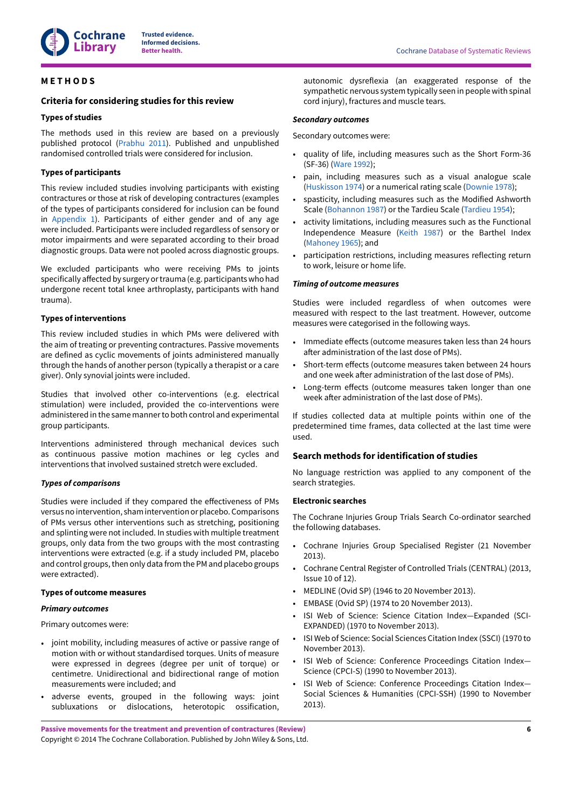

# <span id="page-7-0"></span>**M E T H O D S**

# **Criteria for considering studies for this review**

# **Types of studies**

The methods used in this review are based on a previously published protocol [\(Prabhu](#page-18-13) 2011). Published and unpublished randomised controlled trials were considered for inclusion.

# **Types of participants**

This review included studies involving participants with existing contractures or those at risk of developing contractures (examples of the types of participants considered for inclusion can be found in [Appendix 1\)](#page-24-1). Participants of either gender and of any age were included. Participants were included regardless of sensory or motor impairments and were separated according to their broad diagnostic groups. Data were not pooled across diagnostic groups.

We excluded participants who were receiving PMs to joints specifically affected by surgery or trauma (e.g. participants who had undergone recent total knee arthroplasty, participants with hand trauma).

# **Types of interventions**

This review included studies in which PMs were delivered with the aim of treating or preventing contractures. Passive movements are defined as cyclic movements of joints administered manually through the hands of another person (typically a therapist or a care giver). Only synovial joints were included.

Studies that involved other co-interventions (e.g. electrical stimulation) were included, provided the co-interventions were administered in the same mannerto both control and experimental group participants.

Interventions administered through mechanical devices such as continuous passive motion machines or leg cycles and interventions that involved sustained stretch were excluded.

# *Types of comparisons*

Studies were included if they compared the effectiveness of PMs versus no intervention, sham intervention or placebo. Comparisons of PMs versus other interventions such as stretching, positioning and splinting were not included. In studies with multiple treatment groups, only data from the two groups with the most contrasting interventions were extracted (e.g. if a study included PM, placebo and control groups, then only data from the PM and placebo groups were extracted).

### **Types of outcome measures**

#### *Primary outcomes*

Primary outcomes were:

- joint mobility, including measures of active or passive range of motion with or without standardised torques. Units of measure were expressed in degrees (degree per unit of torque) or centimetre. Unidirectional and bidirectional range of motion measurements were included; and
- adverse events, grouped in the following ways: joint subluxations or dislocations, heterotopic ossification,

autonomic dysreflexia (an exaggerated response of the sympathetic nervous system typically seen in people with spinal cord injury), fractures and muscle tears.

### *Secondary outcomes*

Secondary outcomes were:

- quality of life, including measures such as the Short Form-36 (SF-36) [\(Ware](#page-18-14) 1992);
- pain, including measures such as a visual analogue scale ([Huskisson 1974](#page-17-16)) or a numerical rating scale ([Downie](#page-17-17) 1978);
- spasticity, including measures such as the Modified Ashworth Scale ([Bohannon 1987\)](#page-16-3) or the Tardieu Scale ([Tardieu](#page-18-15) 1954);
- activity limitations, including measures such as the Functional Independence Measure ([Keith](#page-17-18) 1987) or the Barthel Index ([Mahoney](#page-18-16) 1965); and
- participation restrictions, including measures reflecting return to work, leisure or home life.

### *Timing of outcome measures*

Studies were included regardless of when outcomes were measured with respect to the last treatment. However, outcome measures were categorised in the following ways.

- Immediate effects (outcome measures taken less than 24 hours after administration of the last dose of PMs).
- Short-term effects (outcome measures taken between 24 hours and one week after administration of the last dose of PMs).
- Long-term effects (outcome measures taken longer than one week after administration of the last dose of PMs).

If studies collected data at multiple points within one of the predetermined time frames, data collected at the last time were used.

# **Search methods for identification of studies**

No language restriction was applied to any component of the search strategies.

### **Electronic searches**

The Cochrane Injuries Group Trials Search Co-ordinator searched the following databases.

- Cochrane Injuries Group Specialised Register (21 November 2013).
- Cochrane Central Register of Controlled Trials (CENTRAL) (2013, Issue 10 of 12).
- MEDLINE (Ovid SP) (1946 to 20 November 2013).
- EMBASE (Ovid SP) (1974 to 20 November 2013).
- ISI Web of Science: Science Citation Index—Expanded (SCI-EXPANDED) (1970 to November 2013).
- ISI Web of Science: Social Sciences Citation Index (SSCI) (1970 to November 2013).
- ISI Web of Science: Conference Proceedings Citation Index— Science (CPCI-S) (1990 to November 2013).
- ISI Web of Science: Conference Proceedings Citation Index-Social Sciences & Humanities (CPCI-SSH) (1990 to November 2013).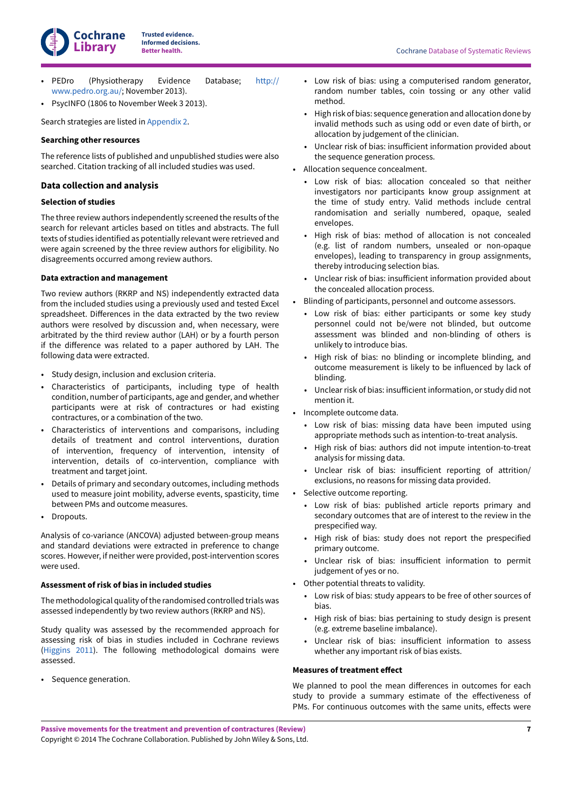

- PEDro (Physiotherapy Evidence Database; [http://](http://www.pedro.org.au/) [www.pedro.org.au/;](http://www.pedro.org.au/) November 2013).
- PsycINFO (1806 to November Week 3 2013).

Search strategies are listed in [Appendix 2.](#page-24-2)

### **Searching other resources**

The reference lists of published and unpublished studies were also searched. Citation tracking of all included studies was used.

# **Data collection and analysis**

### **Selection of studies**

The three review authors independently screened the results of the search for relevant articles based on titles and abstracts. The full texts of studies identified as potentially relevant were retrieved and were again screened by the three review authors for eligibility. No disagreements occurred among review authors.

# **Data extraction and management**

Two review authors (RKRP and NS) independently extracted data from the included studies using a previously used and tested Excel spreadsheet. Differences in the data extracted by the two review authors were resolved by discussion and, when necessary, were arbitrated by the third review author (LAH) or by a fourth person if the difference was related to a paper authored by LAH. The following data were extracted.

- Study design, inclusion and exclusion criteria.
- Characteristics of participants, including type of health condition, number of participants, age and gender, and whether participants were at risk of contractures or had existing contractures, or a combination of the two.
- Characteristics of interventions and comparisons, including details of treatment and control interventions, duration of intervention, frequency of intervention, intensity of intervention, details of co-intervention, compliance with treatment and target joint.
- Details of primary and secondary outcomes, including methods used to measure joint mobility, adverse events, spasticity, time between PMs and outcome measures.
- Dropouts.

Analysis of co-variance (ANCOVA) adjusted between-group means and standard deviations were extracted in preference to change scores. However, if neither were provided, post-intervention scores were used.

#### **Assessment of risk of bias in included studies**

The methodological quality ofthe randomised controlled trials was assessed independently by two review authors (RKRP and NS).

Study quality was assessed by the recommended approach for assessing risk of bias in studies included in Cochrane reviews [\(Higgins 2011\)](#page-17-19). The following methodological domains were assessed.

• Sequence generation.

- Low risk of bias: using a computerised random generator, random number tables, coin tossing or any other valid method.
- High risk of bias: sequence generation and allocation done by invalid methods such as using odd or even date of birth, or allocation by judgement of the clinician.
- Unclear risk of bias: insufficient information provided about the sequence generation process.
- Allocation sequence concealment.
	- Low risk of bias: allocation concealed so that neither investigators nor participants know group assignment at the time of study entry. Valid methods include central randomisation and serially numbered, opaque, sealed envelopes.
	- High risk of bias: method of allocation is not concealed (e.g. list of random numbers, unsealed or non-opaque envelopes), leading to transparency in group assignments, thereby introducing selection bias.
	- Unclear risk of bias: insufficient information provided about the concealed allocation process.
- Blinding of participants, personnel and outcome assessors.
	- Low risk of bias: either participants or some key study personnel could not be/were not blinded, but outcome assessment was blinded and non-blinding of others is unlikely to introduce bias.
	- High risk of bias: no blinding or incomplete blinding, and outcome measurement is likely to be influenced by lack of blinding.
	- Unclear risk of bias: insufficient information, or study did not mention it.
- Incomplete outcome data.
	- Low risk of bias: missing data have been imputed using appropriate methods such as intention-to-treat analysis.
	- High risk of bias: authors did not impute intention-to-treat analysis for missing data.
	- Unclear risk of bias: insufficient reporting of attrition/ exclusions, no reasons for missing data provided.
- Selective outcome reporting.
	- Low risk of bias: published article reports primary and secondary outcomes that are of interest to the review in the prespecified way.
	- High risk of bias: study does not report the prespecified primary outcome.
	- Unclear risk of bias: insufficient information to permit judgement of yes or no.
- Other potential threats to validity.
	- Low risk of bias: study appears to be free of other sources of bias.
	- High risk of bias: bias pertaining to study design is present (e.g. extreme baseline imbalance).
	- Unclear risk of bias: insufficient information to assess whether any important risk of bias exists.

# **Measures of treatment effect**

We planned to pool the mean differences in outcomes for each study to provide a summary estimate of the effectiveness of PMs. For continuous outcomes with the same units, effects were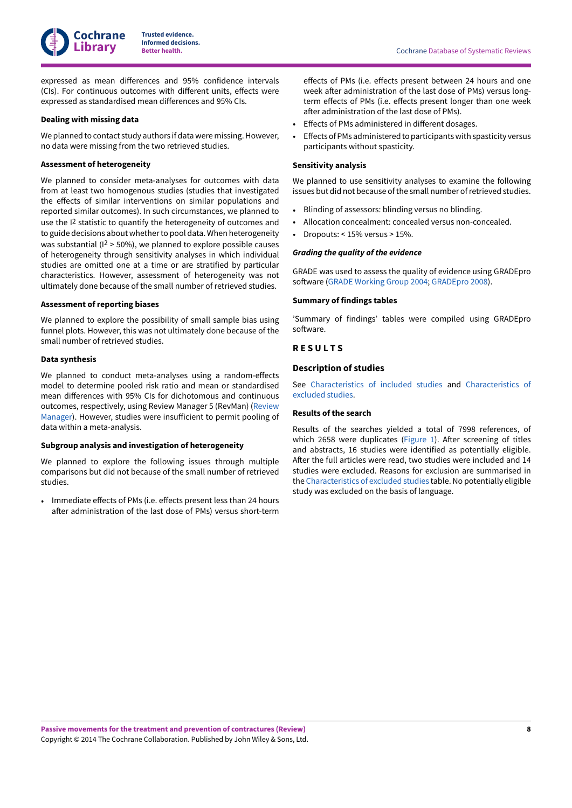expressed as mean differences and 95% confidence intervals (CIs). For continuous outcomes with different units, effects were expressed as standardised mean differences and 95% CIs.

#### **Dealing with missing data**

We planned to contact study authors if data were missing. However, no data were missing from the two retrieved studies.

# **Assessment of heterogeneity**

We planned to consider meta-analyses for outcomes with data from at least two homogenous studies (studies that investigated the effects of similar interventions on similar populations and reported similar outcomes). In such circumstances, we planned to use the I2 statistic to quantify the heterogeneity of outcomes and to guide decisions about whether to pool data. When heterogeneity was substantial ( $1<sup>2</sup>$  > 50%), we planned to explore possible causes of heterogeneity through sensitivity analyses in which individual studies are omitted one at a time or are stratified by particular characteristics. However, assessment of heterogeneity was not ultimately done because of the small number of retrieved studies.

#### **Assessment of reporting biases**

We planned to explore the possibility of small sample bias using funnel plots. However, this was not ultimately done because of the small number of retrieved studies.

#### **Data synthesis**

We planned to conduct meta-analyses using a random-effects model to determine pooled risk ratio and mean or standardised mean differences with 95% CIs for dichotomous and continuous outcomes, respectively, using Review Manager 5 (RevMan) ([Review](#page-18-17) [Manager](#page-18-17)). However, studies were insufficient to permit pooling of data within a meta-analysis.

# **Subgroup analysis and investigation of heterogeneity**

We planned to explore the following issues through multiple comparisons but did not because of the small number of retrieved studies.

Immediate effects of PMs (i.e. effects present less than 24 hours after administration of the last dose of PMs) versus short-term effects of PMs (i.e. effects present between 24 hours and one week after administration of the last dose of PMs) versus longterm effects of PMs (i.e. effects present longer than one week after administration of the last dose of PMs).

- **Effects of PMs administered in different dosages.**
- Effects of PMs administered to participants with spasticity versus participants without spasticity.

#### **Sensitivity analysis**

We planned to use sensitivity analyses to examine the following issues but did not because of the small number of retrieved studies.

- Blinding of assessors: blinding versus no blinding.
- Allocation concealment: concealed versus non-concealed.
- Dropouts:  $< 15\%$  versus  $> 15\%$ .

#### *Grading the quality of the evidence*

GRADE was used to assess the quality of evidence using GRADEpro software (GRADE [Working](#page-17-20) Group 2004; [GRADEpro](#page-17-21) 2008).

#### **Summary of findings tables**

'Summary of findings' tables were compiled using GRADEpro software.

### <span id="page-9-0"></span>**R E S U L T S**

### **Description of studies**

See [Characteristics](#page-18-18) of included studies and [Characteristics](#page-22-1) of [excluded](#page-22-1) studies.

### **Results of the search**

Results of the searches yielded a total of 7998 references, of which 2658 were duplicates [\(Figure](#page-10-0) 1). After screening of titles and abstracts, 16 studies were identified as potentially eligible. After the full articles were read, two studies were included and 14 studies were excluded. Reasons for exclusion are summarised in the [Characteristics](#page-22-1) of excluded studies table. No potentially eligible study was excluded on the basis of language.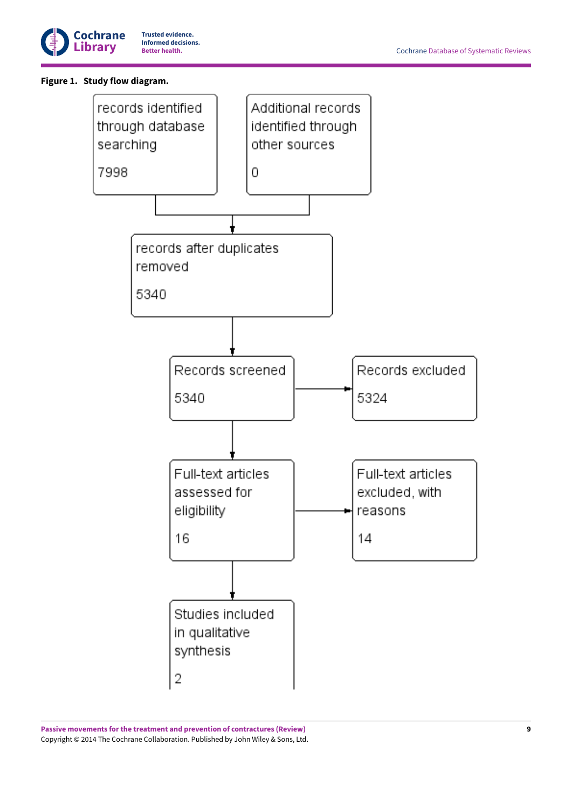

# <span id="page-10-0"></span>**Figure 1. Study flow diagram.**

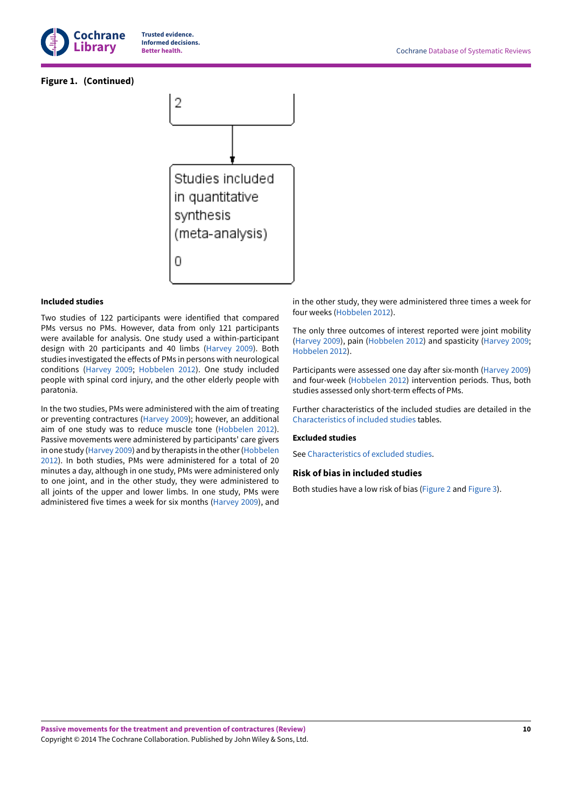

**Figure 1. (Continued)**



### **Included studies**

Two studies of 122 participants were identified that compared PMs versus no PMs. However, data from only 121 participants were available for analysis. One study used a within-participant design with 20 participants and 40 limbs ([Harvey](#page-16-1) 2009). Both studies investigated the effects of PMs in persons with neurological conditions [\(Harvey](#page-16-1) 2009; [Hobbelen 2012\)](#page-16-4). One study included people with spinal cord injury, and the other elderly people with paratonia.

In the two studies, PMs were administered with the aim of treating or preventing contractures ([Harvey](#page-16-1) 2009); however, an additional aim of one study was to reduce muscle tone [\(Hobbelen 2012\)](#page-16-4). Passive movements were administered by participants' care givers in one study ([Harvey](#page-16-1) 2009) and by therapists in the other ([Hobbelen](#page-16-4) [2012](#page-16-4)). In both studies, PMs were administered for a total of 20 minutes a day, although in one study, PMs were administered only to one joint, and in the other study, they were administered to all joints of the upper and lower limbs. In one study, PMs were administered five times a week for six months ([Harvey](#page-16-1) 2009), and

in the other study, they were administered three times a week for four weeks [\(Hobbelen 2012\)](#page-16-4).

The only three outcomes of interest reported were joint mobility [\(Harvey](#page-16-1) 2009), pain ([Hobbelen 2012\)](#page-16-4) and spasticity ([Harvey](#page-16-1) 2009; [Hobbelen 2012](#page-16-4)).

Participants were assessed one day after six-month [\(Harvey](#page-16-1) 2009) and four-week [\(Hobbelen 2012](#page-16-4)) intervention periods. Thus, both studies assessed only short-term effects of PMs.

Further characteristics of the included studies are detailed in the [Characteristics](#page-18-18) of included studies tables.

#### **Excluded studies**

See [Characteristics](#page-22-1) of excluded studies.

### **Risk of bias in included studies**

Both studies have a low risk of bias ([Figure](#page-12-0) 2 and [Figure](#page-13-0) 3).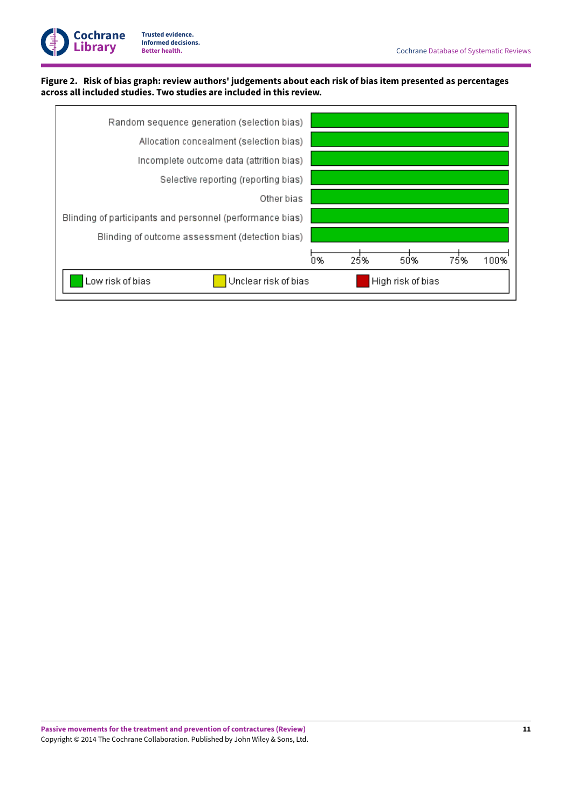

# <span id="page-12-0"></span>Figure 2. Risk of bias graph: review authors' judgements about each risk of bias item presented as percentages **across all included studies.Two studies are included in this review.**

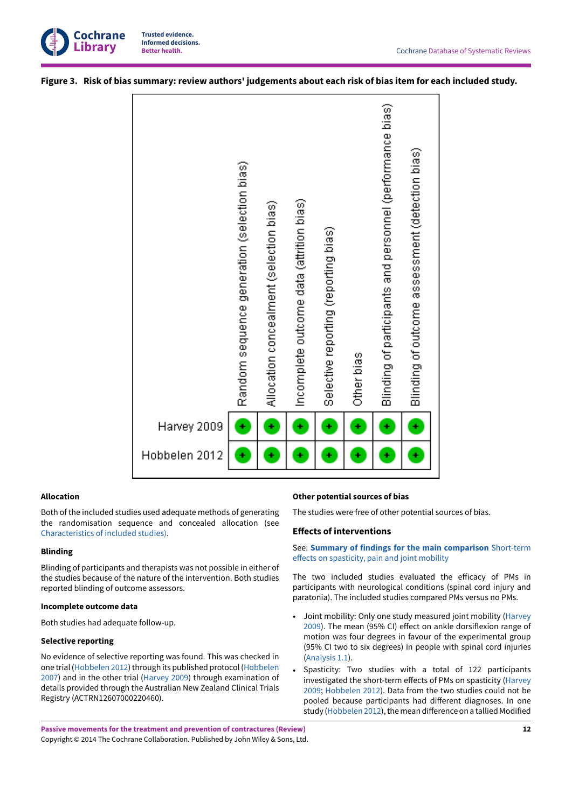

# <span id="page-13-0"></span>Figure 3. Risk of bias summary: review authors' judgements about each risk of bias item for each included study.



# **Allocation**

Both of the included studies used adequate methods of generating the randomisation sequence and concealed allocation (see [Characteristics](#page-18-18) of included studies).

# **Blinding**

Blinding of participants and therapists was not possible in either of the studies because of the nature of the intervention. Both studies reported blinding of outcome assessors.

# **Incomplete outcome data**

Both studies had adequate follow-up.

# **Selective reporting**

No evidence of selective reporting was found. This was checked in one trial [\(Hobbelen 2012](#page-16-4)) through its published protocol ([Hobbelen](#page-17-22) [2007](#page-17-22)) and in the other trial [\(Harvey](#page-16-1) 2009) through examination of details provided through the Australian New Zealand Clinical Trials Registry (ACTRN12607000220460).

# **Other potential sources of bias**

The studies were free of other potential sources of bias.

# **Effects of interventions**

See: **Summary of findings for the main [comparison](#page-4-1)** Short-term effects on [spasticity,](#page-4-1) pain and joint mobility

The two included studies evaluated the efficacy of PMs in participants with neurological conditions (spinal cord injury and paratonia). The included studies compared PMs versus no PMs.

- Joint mobility: Only one study measured joint mobility [\(Harvey](#page-16-1) [2009\)](#page-16-1). The mean (95% CI) effect on ankle dorsiflexion range of motion was four degrees in favour of the experimental group (95% CI two to six degrees) in people with spinal cord injuries ([Analysis 1.1](#page-23-0)).
- Spasticity: Two studies with a total of 122 participants investigated the short-term effects of PMs on spasticity [\(Harvey](#page-16-1) [2009;](#page-16-1) [Hobbelen 2012\)](#page-16-4). Data from the two studies could not be pooled because participants had different diagnoses. In one study ([Hobbelen 2012\)](#page-16-4), the mean difference on a tallied Modified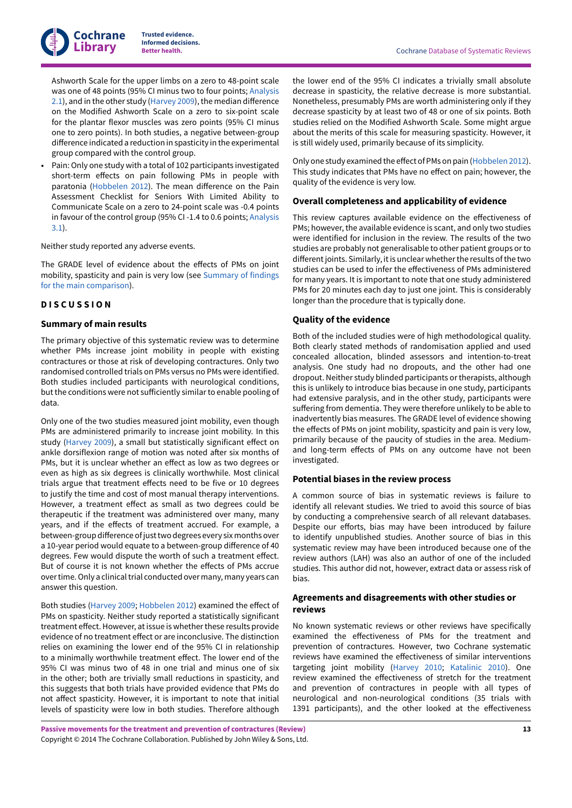

Ashworth Scale for the upper limbs on a zero to 48-point scale was one of 48 points (95% CI minus two to four points; [Analysis](#page-23-1) [2.1](#page-23-1)), and in the other study ([Harvey](#page-16-1) 2009), the median difference on the Modified Ashworth Scale on a zero to six-point scale for the plantar flexor muscles was zero points (95% CI minus one to zero points). In both studies, a negative between-group difference indicated a reduction in spasticity in the experimental group compared with the control group.

• Pain: Only one study with a total of 102 participants investigated short-term effects on pain following PMs in people with paratonia [\(Hobbelen 2012](#page-16-4)). The mean difference on the Pain Assessment Checklist for Seniors With Limited Ability to Communicate Scale on a zero to 24-point scale was -0.4 points in favour of the control group (95% CI -1.4 to 0.6 points; [Analysis](#page-23-2) [3.1](#page-23-2)).

Neither study reported any adverse events.

The GRADE level of evidence about the effects of PMs on joint mobility, spasticity and pain is very low (see [Summary](#page-4-1) of findings for the main [comparison\)](#page-4-1).

# <span id="page-14-0"></span>**D I S C U S S I O N**

# **Summary of main results**

The primary objective of this systematic review was to determine whether PMs increase joint mobility in people with existing contractures or those at risk of developing contractures. Only two randomised controlled trials on PMs versus no PMs were identified. Both studies included participants with neurological conditions, but the conditions were not sufficiently similar to enable pooling of data.

Only one of the two studies measured joint mobility, even though PMs are administered primarily to increase joint mobility. In this study ([Harvey](#page-16-1) 2009), a small but statistically significant effect on ankle dorsiflexion range of motion was noted after six months of PMs, but it is unclear whether an effect as low as two degrees or even as high as six degrees is clinically worthwhile. Most clinical trials argue that treatment effects need to be five or 10 degrees to justify the time and cost of most manual therapy interventions. However, a treatment effect as small as two degrees could be therapeutic if the treatment was administered over many, many years, and if the effects of treatment accrued. For example, a between-group difference of just two degrees every six months over a 10-year period would equate to a between-group difference of 40 degrees. Few would dispute the worth of such a treatment effect. But of course it is not known whether the effects of PMs accrue over time. Only a clinical trial conducted over many, many years can answer this question.

Both studies [\(Harvey](#page-16-1) 2009; [Hobbelen 2012\)](#page-16-4) examined the effect of PMs on spasticity. Neither study reported a statistically significant treatment effect. However, at issue is whether these results provide evidence of no treatment effect or are inconclusive. The distinction relies on examining the lower end of the 95% CI in relationship to a minimally worthwhile treatment effect. The lower end of the 95% CI was minus two of 48 in one trial and minus one of six in the other; both are trivially small reductions in spasticity, and this suggests that both trials have provided evidence that PMs do not affect spasticity. However, it is important to note that initial levels of spasticity were low in both studies. Therefore although

the lower end of the 95% CI indicates a trivially small absolute decrease in spasticity, the relative decrease is more substantial. Nonetheless, presumably PMs are worth administering only if they decrease spasticity by at least two of 48 or one of six points. Both studies relied on the Modified Ashworth Scale. Some might argue about the merits of this scale for measuring spasticity. However, it is still widely used, primarily because of its simplicity.

Only one study examined the effect of PMs on pain ([Hobbelen 2012\)](#page-16-4). This study indicates that PMs have no effect on pain; however, the quality of the evidence is very low.

#### **Overall completeness and applicability of evidence**

This review captures available evidence on the effectiveness of PMs; however, the available evidence is scant, and only two studies were identified for inclusion in the review. The results of the two studies are probably not generalisable to other patient groups orto different joints. Similarly, it is unclear whether the results of the two studies can be used to infer the effectiveness of PMs administered for many years. It is important to note that one study administered PMs for 20 minutes each day to just one joint. This is considerably longer than the procedure that is typically done.

### **Quality of the evidence**

Both of the included studies were of high methodological quality. Both clearly stated methods of randomisation applied and used concealed allocation, blinded assessors and intention-to-treat analysis. One study had no dropouts, and the other had one dropout. Neither study blinded participants ortherapists, although this is unlikely to introduce bias because in one study, participants had extensive paralysis, and in the other study, participants were suffering from dementia. They were therefore unlikely to be able to inadvertently bias measures. The GRADE level of evidence showing the effects of PMs on joint mobility, spasticity and pain is very low, primarily because of the paucity of studies in the area. Mediumand long-term effects of PMs on any outcome have not been investigated.

# **Potential biases in the review process**

A common source of bias in systematic reviews is failure to identify all relevant studies. We tried to avoid this source of bias by conducting a comprehensive search of all relevant databases. Despite our efforts, bias may have been introduced by failure to identify unpublished studies. Another source of bias in this systematic review may have been introduced because one of the review authors (LAH) was also an author of one of the included studies. This author did not, however, extract data or assess risk of bias.

# **Agreements and disagreements with other studies or reviews**

No known systematic reviews or other reviews have specifically examined the effectiveness of PMs for the treatment and prevention of contractures. However, two Cochrane systematic reviews have examined the effectiveness of similar interventions targeting joint mobility [\(Harvey](#page-17-14) 2010; [Katalinic](#page-17-15) 2010). One review examined the effectiveness of stretch for the treatment and prevention of contractures in people with all types of neurological and non-neurological conditions (35 trials with 1391 participants), and the other looked at the effectiveness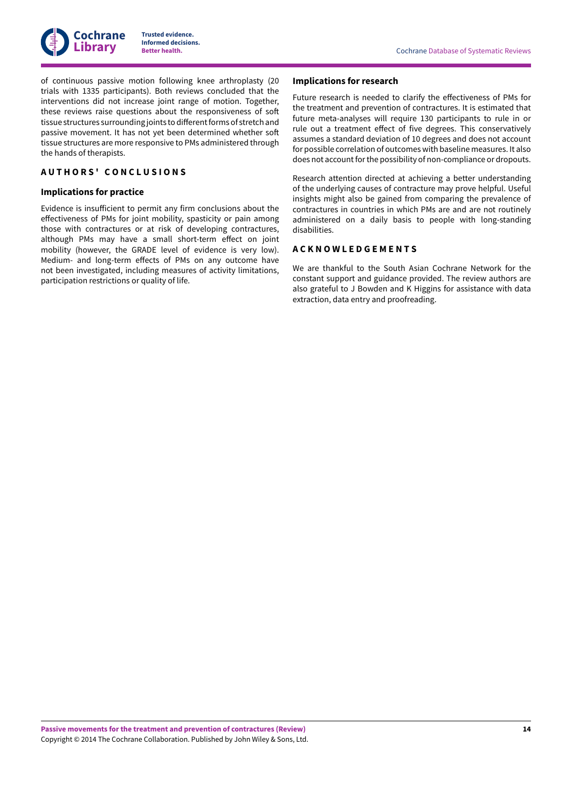

of continuous passive motion following knee arthroplasty (20 trials with 1335 participants). Both reviews concluded that the interventions did not increase joint range of motion. Together, these reviews raise questions about the responsiveness of soft tissue structures surrounding joints to different forms of stretch and passive movement. It has not yet been determined whether soft tissue structures are more responsive to PMs administered through the hands of therapists.

# <span id="page-15-0"></span>**A U T H O R S ' C O N C L U S I O N S**

#### **Implications for practice**

Evidence is insufficient to permit any firm conclusions about the effectiveness of PMs for joint mobility, spasticity or pain among those with contractures or at risk of developing contractures, although PMs may have a small short-term effect on joint mobility (however, the GRADE level of evidence is very low). Medium- and long-term effects of PMs on any outcome have not been investigated, including measures of activity limitations, participation restrictions or quality of life.

### **Implications for research**

Future research is needed to clarify the effectiveness of PMs for the treatment and prevention of contractures. It is estimated that future meta-analyses will require 130 participants to rule in or rule out a treatment effect of five degrees. This conservatively assumes a standard deviation of 10 degrees and does not account for possible correlation of outcomes with baseline measures. It also does not account for the possibility of non-compliance or dropouts.

Research attention directed at achieving a better understanding of the underlying causes of contracture may prove helpful. Useful insights might also be gained from comparing the prevalence of contractures in countries in which PMs are and are not routinely administered on a daily basis to people with long-standing disabilities.

# <span id="page-15-1"></span>**A C K N O W L E D G E M E N T S**

We are thankful to the South Asian Cochrane Network for the constant support and guidance provided. The review authors are also grateful to J Bowden and K Higgins for assistance with data extraction, data entry and proofreading.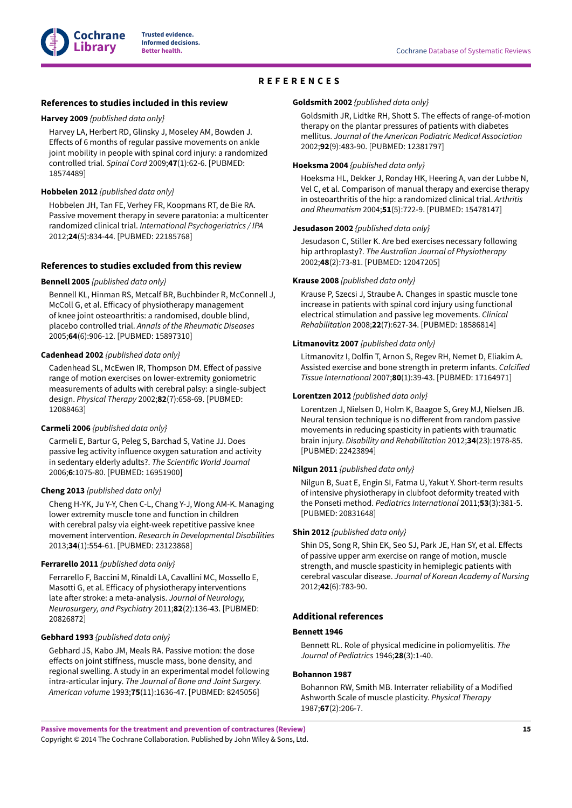

# **REFERENCES**

### <span id="page-16-0"></span>**References to studies included in this review**

#### <span id="page-16-1"></span>**Harvey 2009** *{published data only}*

Harvey LA, Herbert RD, Glinsky J, Moseley AM, Bowden J. Effects of 6 months of regular passive movements on ankle joint mobility in people with spinal cord injury: a randomized controlled trial. *Spinal Cord* 2009;**47**(1):62-6. [PUBMED: 18574489]

#### <span id="page-16-4"></span>**Hobbelen 2012** *{published data only}*

Hobbelen JH, Tan FE, Verhey FR, Koopmans RT, de Bie RA. Passive movement therapy in severe paratonia: a multicenter randomized clinical trial. *International Psychogeriatrics / IPA* 2012;**24**(5):834-44. [PUBMED: 22185768]

### **References to studies excluded from this review**

#### <span id="page-16-5"></span>**Bennell 2005** *{published data only}*

Bennell KL, Hinman RS, Metcalf BR, Buchbinder R, McConnell J, McColl G, et al. Efficacy of physiotherapy management of knee joint osteoarthritis: a randomised, double blind, placebo controlled trial. *Annals of the Rheumatic Diseases* 2005;**64**(6):906-12. [PUBMED: 15897310]

#### <span id="page-16-6"></span>**Cadenhead 2002** *{published data only}*

Cadenhead SL, McEwen IR, Thompson DM. Effect of passive range of motion exercises on lower-extremity goniometric measurements of adults with cerebral palsy: a single-subject design. *Physical Therapy* 2002;**82**(7):658-69. [PUBMED: 12088463]

### <span id="page-16-7"></span>**Carmeli 2006** *{published data only}*

Carmeli E, Bartur G, Peleg S, Barchad S, Vatine JJ. Does passive leg activity influence oxygen saturation and activity in sedentary elderly adults?. *The Scientific World Journal* 2006;**6**:1075-80. [PUBMED: 16951900]

# <span id="page-16-8"></span>**Cheng 2013** *{published data only}*

Cheng H-YK, Ju Y-Y, Chen C-L, Chang Y-J, Wong AM-K. Managing lower extremity muscle tone and function in children with cerebral palsy via eight-week repetitive passive knee movement intervention. *Research in Developmental Disabilities* 2013;**34**(1):554-61. [PUBMED: 23123868]

#### <span id="page-16-9"></span>**Ferrarello 2011** *{published data only}*

Ferrarello F, Baccini M, Rinaldi LA, Cavallini MC, Mossello E, Masotti G, et al. Efficacy of physiotherapy interventions late after stroke: a meta-analysis. *Journal of Neurology*, *Neurosurgery, and Psychiatry* 2011;**82**(2):136-43. [PUBMED: 20826872]

#### <span id="page-16-10"></span>**Gebhard 1993** *{published data only}*

Gebhard JS, Kabo JM, Meals RA. Passive motion: the dose effects on joint stiffness, muscle mass, bone density, and regional swelling. A study in an experimental model following intra-articular injury. *The Journal of Bone and Joint Surgery. American volume* 1993;**75**(11):1636-47. [PUBMED: 8245056]

# <span id="page-16-11"></span>**Goldsmith 2002** *{published data only}*

Goldsmith JR, Lidtke RH, Shott S. The effects of range-of-motion therapy on the plantar pressures of patients with diabetes mellitus. *Journal of the American Podiatric Medical Association* 2002;**92**(9):483-90. [PUBMED: 12381797]

#### <span id="page-16-12"></span>**Hoeksma 2004** *{published data only}*

Hoeksma HL, Dekker J, Ronday HK, Heering A, van der Lubbe N, Vel C, et al. Comparison of manual therapy and exercise therapy in osteoarthritis of the hip: a randomized clinical trial. *Arthritis and Rheumatism* 2004;**51**(5):722-9. [PUBMED: 15478147]

#### <span id="page-16-13"></span>**Jesudason 2002** *{published data only}*

Jesudason C, Stiller K. Are bed exercises necessary following hip arthroplasty?. *The Australian Journal of Physiotherapy* 2002;**48**(2):73-81. [PUBMED: 12047205]

#### <span id="page-16-14"></span>**Krause 2008** *{published data only}*

Krause P, Szecsi J, Straube A. Changes in spastic muscle tone increase in patients with spinal cord injury using functional electrical stimulation and passive leg movements. *Clinical Rehabilitation* 2008;**22**(7):627-34. [PUBMED: 18586814]

#### <span id="page-16-15"></span>**Litmanovitz 2007** *{published data only}*

Litmanovitz I, Dolfin T, Arnon S, Regev RH, Nemet D, Eliakim A. Assisted exercise and bone strength in preterm infants. *Calcified Tissue International* 2007;**80**(1):39-43. [PUBMED: 17164971]

#### <span id="page-16-16"></span>**Lorentzen 2012** *{published data only}*

Lorentzen J, Nielsen D, Holm K, Baagoe S, Grey MJ, Nielsen JB. Neural tension technique is no different from random passive movements in reducing spasticity in patients with traumatic brain injury. *Disability and Rehabilitation* 2012;**34**(23):1978-85. [PUBMED: 22423894]

### <span id="page-16-17"></span>**Nilgun 2011** *{published data only}*

Nilgun B, Suat E, Engin SI, Fatma U, Yakut Y. Short-term results of intensive physiotherapy in clubfoot deformity treated with the Ponseti method. *Pediatrics International* 2011;**53**(3):381-5. [PUBMED: 20831648]

#### <span id="page-16-18"></span>**Shin 2012** *{published data only}*

Shin DS, Song R, Shin EK, Seo SJ, Park JE, Han SY, et al. Effects of passive upper arm exercise on range of motion, muscle strength, and muscle spasticity in hemiplegic patients with cerebral vascular disease. *Journal of Korean Academy of Nursing* 2012;**42**(6):783-90.

### **Additional references**

#### <span id="page-16-2"></span>**Bennett 1946**

Bennett RL. Role of physical medicine in poliomyelitis. *The Journal of Pediatrics* 1946;**28**(3):1-40.

### <span id="page-16-3"></span>**Bohannon 1987**

Bohannon RW, Smith MB. Interrater reliability of a Modified Ashworth Scale of muscle plasticity. *Physical Therapy* 1987;**67**(2):206-7.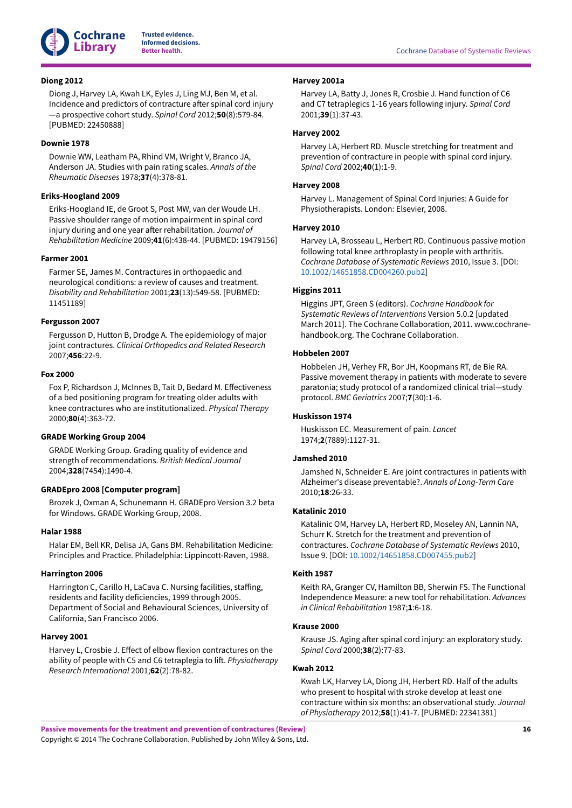

# <span id="page-17-11"></span>**Diong 2012**

Diong J, Harvey LA, Kwah LK, Eyles J, Ling MJ, Ben M, et al. Incidence and predictors of contracture after spinal cord injury —a prospective cohort study. *Spinal Cord* 2012;**50**(8):579-84. [PUBMED: 22450888]

# <span id="page-17-17"></span>**Downie 1978**

Downie WW, Leatham PA, Rhind VM, Wright V, Branco JA, Anderson JA. Studies with pain rating scales. *Annals of the Rheumatic Diseases* 1978;**37**(4):378-81.

# <span id="page-17-10"></span>**Eriks-Hoogland 2009**

Eriks-Hoogland IE, de Groot S, Post MW, van der Woude LH. Passive shoulder range of motion impairment in spinal cord injury during and one year after rehabilitation. Journal of *Rehabilitation Medicine* 2009;**41**(6):438-44. [PUBMED: 19479156]

### <span id="page-17-2"></span>**Farmer 2001**

Farmer SE, James M. Contractures in orthopaedic and neurological conditions: a review of causes and treatment. *Disability and Rehabilitation* 2001;**23**(13):549-58. [PUBMED: 11451189]

#### <span id="page-17-5"></span>**Fergusson 2007**

Fergusson D, Hutton B, Drodge A. The epidemiology of major joint contractures. *Clinical Orthopedics and Related Research* 2007;**456**:22-9.

# <span id="page-17-1"></span>**Fox 2000**

Fox P, Richardson J, McInnes B, Tait D, Bedard M. Effectiveness of a bed positioning program for treating older adults with knee contractures who are institutionalized. *Physical Therapy* 2000;**80**(4):363-72.

#### <span id="page-17-20"></span>**GRADE Working Group 2004**

GRADE Working Group. Grading quality of evidence and strength of recommendations. *British Medical Journal* 2004;**328**(7454):1490-4.

### <span id="page-17-21"></span>**GRADEpro 2008 [Computer program]**

Brozek J, Oxman A, Schunemann H. GRADEpro Version 3.2 beta for Windows. GRADE Working Group, 2008.

#### <span id="page-17-3"></span>**Halar 1988**

Halar EM, Bell KR, Delisa JA, Gans BM. Rehabilitation Medicine: Principles and Practice. Philadelphia: Lippincott-Raven, 1988.

#### <span id="page-17-9"></span>**Harrington 2006**

Harrington C, Carillo H, LaCava C. Nursing facilities, staffing, residents and facility deficiencies, 1999 through 2005. Department of Social and Behavioural Sciences, University of California, San Francisco 2006.

#### <span id="page-17-6"></span>**Harvey 2001**

Harvey L, Crosbie J. Effect of elbow flexion contractures on the ability of people with C5 and C6 tetraplegia to lift. *Physiotherapy Research International* 2001;**62**(2):78-82.

### <span id="page-17-7"></span>**Harvey 2001a**

Harvey LA, Batty J, Jones R, Crosbie J. Hand function of C6 and C7 tetraplegics 1-16 years following injury. *Spinal Cord* 2001;**39**(1):37-43.

### <span id="page-17-4"></span>**Harvey 2002**

Harvey LA, Herbert RD. Muscle stretching for treatment and prevention of contracture in people with spinal cord injury. *Spinal Cord* 2002;**40**(1):1-9.

### <span id="page-17-0"></span>**Harvey 2008**

Harvey L. Management of Spinal Cord Injuries: A Guide for Physiotherapists. London: Elsevier, 2008.

#### <span id="page-17-14"></span>**Harvey 2010**

Harvey LA, Brosseau L, Herbert RD. Continuous passive motion following total knee arthroplasty in people with arthritis. *Cochrane Database of Systematic Reviews* 2010, Issue 3. [DOI: [10.1002/14651858.CD004260.pub2\]](https://doi.org/10.1002%2F14651858.CD004260.pub2)

#### <span id="page-17-19"></span>**Higgins 2011**

Higgins JPT, Green S (editors). *Cochrane Handbook for Systematic Reviews of Interventions* Version 5.0.2 [updated March 2011]. The Cochrane Collaboration, 2011. www.cochranehandbook.org. The Cochrane Collaboration.

# <span id="page-17-22"></span>**Hobbelen 2007**

Hobbelen JH, Verhey FR, Bor JH, Koopmans RT, de Bie RA. Passive movement therapy in patients with moderate to severe paratonia; study protocol of a randomized clinical trial—study protocol. *BMC Geriatrics* 2007;**7**(30):1-6.

#### <span id="page-17-16"></span>**Huskisson 1974**

Huskisson EC. Measurement of pain. *Lancet* 1974;**2**(7889):1127-31.

#### <span id="page-17-13"></span>**Jamshed 2010**

Jamshed N, Schneider E. Are joint contractures in patients with Alzheimer's disease preventable?. *Annals of Long-Term Care* 2010;**18**:26-33.

#### <span id="page-17-15"></span>**Katalinic 2010**

Katalinic OM, Harvey LA, Herbert RD, Moseley AN, Lannin NA, Schurr K. Stretch for the treatment and prevention of contractures. *Cochrane Database of Systematic Reviews* 2010, Issue 9. [DOI: [10.1002/14651858.CD007455.pub2\]](https://doi.org/10.1002%2F14651858.CD007455.pub2)

### <span id="page-17-18"></span>**Keith 1987**

Keith RA, Granger CV, Hamilton BB, Sherwin FS. The Functional Independence Measure: a new tool for rehabilitation. *Advances in Clinical Rehabilitation* 1987;**1**:6-18.

#### <span id="page-17-8"></span>**Krause 2000**

Krause JS. Aging after spinal cord injury: an exploratory study. *Spinal Cord* 2000;**38**(2):77-83.

### <span id="page-17-12"></span>**Kwah 2012**

Kwah LK, Harvey LA, Diong JH, Herbert RD. Half of the adults who present to hospital with stroke develop at least one contracture within six months: an observational study. *Journal of Physiotherapy* 2012;**58**(1):41-7. [PUBMED: 22341381]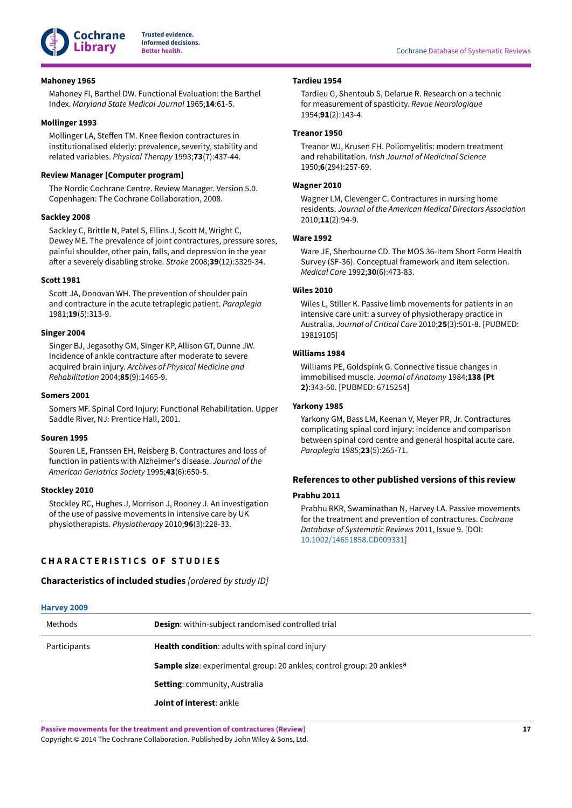

#### <span id="page-18-16"></span>**Mahoney 1965**

Mahoney FI, Barthel DW. Functional Evaluation: the Barthel Index. *Maryland State Medical Journal* 1965;**14**:61-5.

#### <span id="page-18-6"></span>**Mollinger 1993**

Mollinger LA, Steffen TM. Knee flexion contractures in institutionalised elderly: prevalence, severity, stability and related variables. *Physical Therapy* 1993;**73**(7):437-44.

#### <span id="page-18-17"></span>**Review Manager [Computer program]**

The Nordic Cochrane Centre. Review Manager. Version 5.0. Copenhagen: The Cochrane Collaboration, 2008.

#### <span id="page-18-10"></span>**Sackley 2008**

Sackley C, Brittle N, Patel S, Ellins J, Scott M, Wright C, Dewey ME. The prevalence of joint contractures, pressure sores, painful shoulder, other pain, falls, and depression in the year after a severely disabling stroke. *Stroke* 2008;39(12):3329-34.

#### <span id="page-18-9"></span>**Scott 1981**

Scott JA, Donovan WH. The prevention of shoulder pain and contracture in the acute tetraplegic patient. *Paraplegia* 1981;**19**(5):313-9.

#### <span id="page-18-11"></span>**Singer 2004**

Singer BJ, Jegasothy GM, Singer KP, Allison GT, Dunne JW. Incidence of ankle contracture after moderate to severe acquired brain injury. *Archives of Physical Medicine and Rehabilitation* 2004;**85**(9):1465-9.

# <span id="page-18-1"></span>**Somers 2001**

Somers MF. Spinal Cord Injury: Functional Rehabilitation. Upper Saddle River, NJ: Prentice Hall, 2001.

# <span id="page-18-7"></span>**Souren 1995**

Souren LE, Franssen EH, Reisberg B. Contractures and loss of function in patients with Alzheimer's disease. *Journal of the American Geriatrics Society* 1995;**43**(6):650-5.

#### <span id="page-18-3"></span>**Stockley 2010**

Stockley RC, Hughes J, Morrison J, Rooney J. An investigation of the use of passive movements in intensive care by UK physiotherapists. *Physiotherapy* 2010;**96**(3):228-33.

# <span id="page-18-0"></span>**C H A R A C T E R I S T I C S O F S T U D I E S**

#### <span id="page-18-18"></span>**Characteristics of included studies** *[ordered by study ID]*

#### <span id="page-18-15"></span>**Tardieu 1954**

Tardieu G, Shentoub S, Delarue R. Research on a technic for measurement of spasticity. *Revue Neurologique* 1954;**91**(2):143-4.

#### <span id="page-18-5"></span>**Treanor 1950**

Treanor WJ, Krusen FH. Poliomyelitis: modern treatment and rehabilitation. *Irish Journal of Medicinal Science* 1950;**6**(294):257-69.

#### <span id="page-18-2"></span>**Wagner 2010**

Wagner LM, Clevenger C. Contractures in nursing home residents. *Journal of the American Medical Directors Association* 2010;**11**(2):94-9.

#### <span id="page-18-14"></span>**Ware 1992**

Ware JE, Sherbourne CD. The MOS 36-Item Short Form Health Survey (SF-36). Conceptual framework and item selection. *Medical Care* 1992;**30**(6):473-83.

### <span id="page-18-4"></span>**Wiles 2010**

Wiles L, Stiller K. Passive limb movements for patients in an intensive care unit: a survey of physiotherapy practice in Australia. *Journal of Critical Care* 2010;**25**(3):501-8. [PUBMED: 19819105]

# <span id="page-18-12"></span>**Williams 1984**

Williams PE, Goldspink G. Connective tissue changes in immobilised muscle. *Journal of Anatomy* 1984;**138 (Pt 2)**:343-50. [PUBMED: 6715254]

# <span id="page-18-8"></span>**Yarkony 1985**

Yarkony GM, Bass LM, Keenan V, Meyer PR, Jr. Contractures complicating spinal cord injury: incidence and comparison between spinal cord centre and general hospital acute care. *Paraplegia* 1985;**23**(5):265-71.

#### **References to other published versions of this review**

### <span id="page-18-13"></span>**Prabhu 2011**

Prabhu RKR, Swaminathan N, Harvey LA. Passive movements for the treatment and prevention of contractures. *Cochrane Database of Systematic Reviews* 2011, Issue 9. [DOI: [10.1002/14651858.CD009331\]](https://doi.org/10.1002%2F14651858.CD009331)

| Harvey 2009  |                                                                                   |  |
|--------------|-----------------------------------------------------------------------------------|--|
| Methods      | <b>Design:</b> within-subject randomised controlled trial                         |  |
| Participants | <b>Health condition:</b> adults with spinal cord injury                           |  |
|              | Sample size: experimental group: 20 ankles; control group: 20 ankles <sup>a</sup> |  |
|              | <b>Setting: community, Australia</b>                                              |  |
|              | <b>Joint of interest: ankle</b>                                                   |  |
|              |                                                                                   |  |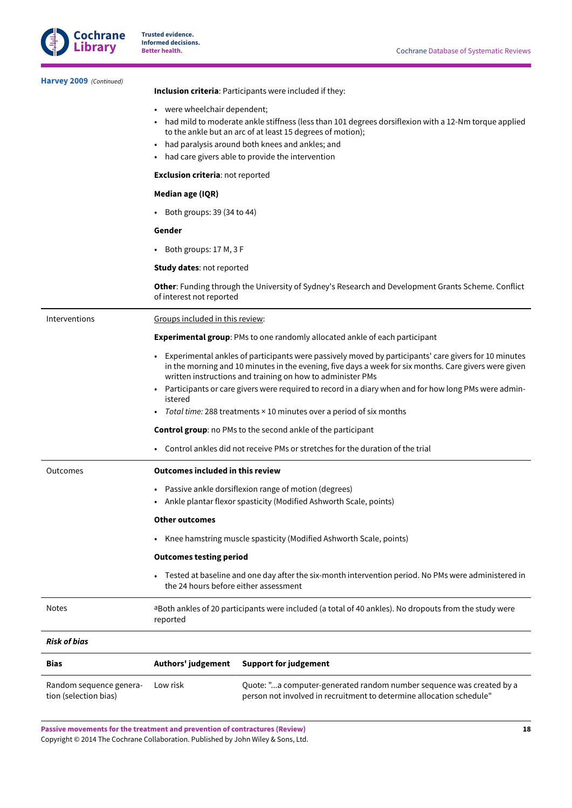

| Harvey 2009 (Continued)                          |                                                                                                                                       | <b>Inclusion criteria:</b> Participants were included if they:                                                                                                                                                                                                                |  |  |  |  |  |  |  |  |
|--------------------------------------------------|---------------------------------------------------------------------------------------------------------------------------------------|-------------------------------------------------------------------------------------------------------------------------------------------------------------------------------------------------------------------------------------------------------------------------------|--|--|--|--|--|--|--|--|
|                                                  | • were wheelchair dependent;<br>$\bullet$<br>$\bullet$                                                                                | had mild to moderate ankle stiffness (less than 101 degrees dorsiflexion with a 12-Nm torque applied<br>to the ankle but an arc of at least 15 degrees of motion);<br>had paralysis around both knees and ankles; and<br>• had care givers able to provide the intervention   |  |  |  |  |  |  |  |  |
|                                                  | <b>Exclusion criteria: not reported</b>                                                                                               |                                                                                                                                                                                                                                                                               |  |  |  |  |  |  |  |  |
|                                                  | Median age (IQR)                                                                                                                      |                                                                                                                                                                                                                                                                               |  |  |  |  |  |  |  |  |
|                                                  |                                                                                                                                       | • Both groups: 39 (34 to 44)                                                                                                                                                                                                                                                  |  |  |  |  |  |  |  |  |
|                                                  | Gender                                                                                                                                |                                                                                                                                                                                                                                                                               |  |  |  |  |  |  |  |  |
|                                                  | • Both groups: 17 M, 3 F                                                                                                              |                                                                                                                                                                                                                                                                               |  |  |  |  |  |  |  |  |
|                                                  |                                                                                                                                       | Study dates: not reported                                                                                                                                                                                                                                                     |  |  |  |  |  |  |  |  |
|                                                  | <b>Other:</b> Funding through the University of Sydney's Research and Development Grants Scheme. Conflict<br>of interest not reported |                                                                                                                                                                                                                                                                               |  |  |  |  |  |  |  |  |
| Interventions                                    | Groups included in this review:                                                                                                       |                                                                                                                                                                                                                                                                               |  |  |  |  |  |  |  |  |
|                                                  |                                                                                                                                       | <b>Experimental group:</b> PMs to one randomly allocated ankle of each participant                                                                                                                                                                                            |  |  |  |  |  |  |  |  |
|                                                  |                                                                                                                                       | • Experimental ankles of participants were passively moved by participants' care givers for 10 minutes<br>in the morning and 10 minutes in the evening, five days a week for six months. Care givers were given<br>written instructions and training on how to administer PMs |  |  |  |  |  |  |  |  |
|                                                  | Participants or care givers were required to record in a diary when and for how long PMs were admin-<br>istered                       |                                                                                                                                                                                                                                                                               |  |  |  |  |  |  |  |  |
|                                                  | Total time: 288 treatments × 10 minutes over a period of six months                                                                   |                                                                                                                                                                                                                                                                               |  |  |  |  |  |  |  |  |
|                                                  | <b>Control group:</b> no PMs to the second ankle of the participant                                                                   |                                                                                                                                                                                                                                                                               |  |  |  |  |  |  |  |  |
|                                                  |                                                                                                                                       | • Control ankles did not receive PMs or stretches for the duration of the trial                                                                                                                                                                                               |  |  |  |  |  |  |  |  |
| Outcomes                                         | Outcomes included in this review                                                                                                      |                                                                                                                                                                                                                                                                               |  |  |  |  |  |  |  |  |
|                                                  |                                                                                                                                       | Passive ankle dorsiflexion range of motion (degrees)                                                                                                                                                                                                                          |  |  |  |  |  |  |  |  |
|                                                  |                                                                                                                                       | • Ankle plantar flexor spasticity (Modified Ashworth Scale, points)                                                                                                                                                                                                           |  |  |  |  |  |  |  |  |
|                                                  | <b>Other outcomes</b>                                                                                                                 |                                                                                                                                                                                                                                                                               |  |  |  |  |  |  |  |  |
|                                                  | $\bullet$                                                                                                                             | Knee hamstring muscle spasticity (Modified Ashworth Scale, points)                                                                                                                                                                                                            |  |  |  |  |  |  |  |  |
|                                                  | <b>Outcomes testing period</b>                                                                                                        |                                                                                                                                                                                                                                                                               |  |  |  |  |  |  |  |  |
|                                                  | the 24 hours before either assessment                                                                                                 | • Tested at baseline and one day after the six-month intervention period. No PMs were administered in                                                                                                                                                                         |  |  |  |  |  |  |  |  |
| <b>Notes</b>                                     | reported                                                                                                                              | aBoth ankles of 20 participants were included (a total of 40 ankles). No dropouts from the study were                                                                                                                                                                         |  |  |  |  |  |  |  |  |
| <b>Risk of bias</b>                              |                                                                                                                                       |                                                                                                                                                                                                                                                                               |  |  |  |  |  |  |  |  |
| Bias                                             | Authors' judgement                                                                                                                    | <b>Support for judgement</b>                                                                                                                                                                                                                                                  |  |  |  |  |  |  |  |  |
| Random sequence genera-<br>tion (selection bias) | Low risk                                                                                                                              | Quote: "a computer-generated random number sequence was created by a<br>person not involved in recruitment to determine allocation schedule"                                                                                                                                  |  |  |  |  |  |  |  |  |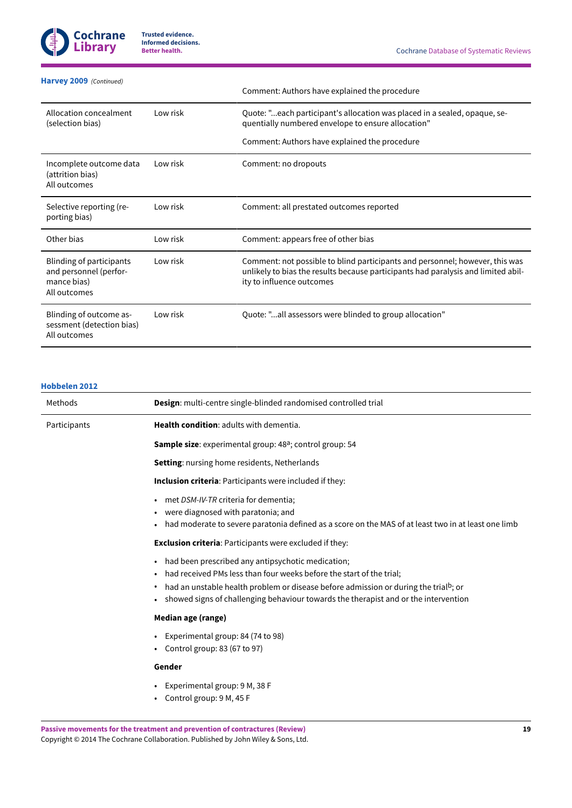

|   | Harvey 2009 (Continued) |  |  |  |
|---|-------------------------|--|--|--|
| . | . .                     |  |  |  |

|                                                                                          |          | Comment: Authors have explained the procedure                                                                                                                                                  |
|------------------------------------------------------------------------------------------|----------|------------------------------------------------------------------------------------------------------------------------------------------------------------------------------------------------|
| Allocation concealment<br>(selection bias)                                               | Low risk | Quote: "each participant's allocation was placed in a sealed, opaque, se-<br>quentially numbered envelope to ensure allocation"                                                                |
|                                                                                          |          | Comment: Authors have explained the procedure                                                                                                                                                  |
| Incomplete outcome data<br>(attrition bias)<br>All outcomes                              | Low risk | Comment: no dropouts                                                                                                                                                                           |
| Selective reporting (re-<br>porting bias)                                                | Low risk | Comment: all prestated outcomes reported                                                                                                                                                       |
| Other bias                                                                               | Low risk | Comment: appears free of other bias                                                                                                                                                            |
| <b>Blinding of participants</b><br>and personnel (perfor-<br>mance bias)<br>All outcomes | Low risk | Comment: not possible to blind participants and personnel; however, this was<br>unlikely to bias the results because participants had paralysis and limited abil-<br>ity to influence outcomes |
| Blinding of outcome as-<br>sessment (detection bias)<br>All outcomes                     | Low risk | Quote: "all assessors were blinded to group allocation"                                                                                                                                        |

# **[Hobbelen 2012](#page-16-4)**

| Methods      | Design: multi-centre single-blinded randomised controlled trial                                                                                                                                                                                                                                                                                       |
|--------------|-------------------------------------------------------------------------------------------------------------------------------------------------------------------------------------------------------------------------------------------------------------------------------------------------------------------------------------------------------|
| Participants | <b>Health condition:</b> adults with dementia.                                                                                                                                                                                                                                                                                                        |
|              | <b>Sample size:</b> experimental group: 48 <sup>a</sup> ; control group: 54                                                                                                                                                                                                                                                                           |
|              | <b>Setting:</b> nursing home residents, Netherlands                                                                                                                                                                                                                                                                                                   |
|              | <b>Inclusion criteria:</b> Participants were included if they:                                                                                                                                                                                                                                                                                        |
|              | • met DSM-IV-TR criteria for dementia;<br>were diagnosed with paratonia; and<br>had moderate to severe paratonia defined as a score on the MAS of at least two in at least one limb<br>$\bullet$                                                                                                                                                      |
|              | <b>Exclusion criteria: Participants were excluded if they:</b>                                                                                                                                                                                                                                                                                        |
|              | • had been prescribed any antipsychotic medication;<br>had received PMs less than four weeks before the start of the trial;<br>$\bullet$<br>had an unstable health problem or disease before admission or during the trial <sup>b</sup> ; or<br>٠<br>showed signs of challenging behaviour towards the therapist and or the intervention<br>$\bullet$ |
|              | Median age (range)                                                                                                                                                                                                                                                                                                                                    |
|              | • Experimental group: 84 (74 to 98)<br>• Control group: 83 (67 to 97)                                                                                                                                                                                                                                                                                 |
|              | Gender                                                                                                                                                                                                                                                                                                                                                |
|              | • Experimental group: 9 M, 38 F                                                                                                                                                                                                                                                                                                                       |

• Control group: 9 M, 45 F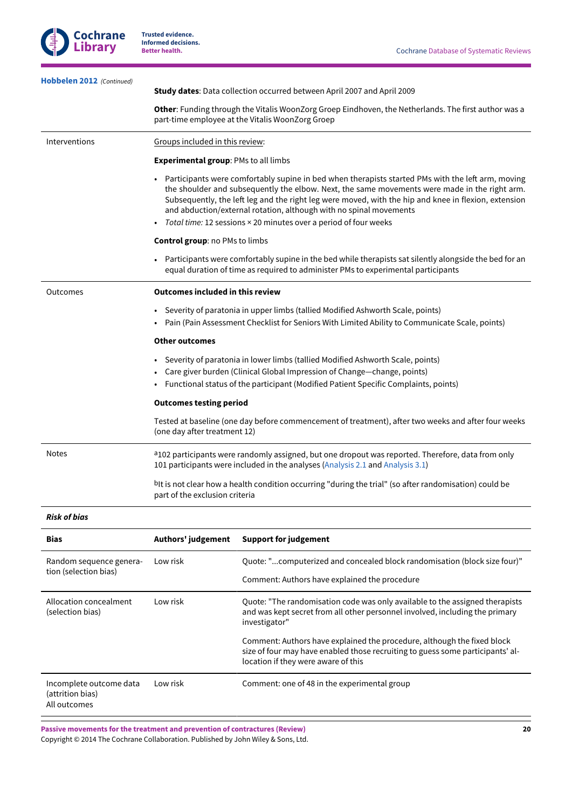

| Hobbelen 2012 (Continued) |                                             | <b>Study dates:</b> Data collection occurred between April 2007 and April 2009                                                                                                                                                                                                                                                                                                   |  |  |  |  |  |  |  |
|---------------------------|---------------------------------------------|----------------------------------------------------------------------------------------------------------------------------------------------------------------------------------------------------------------------------------------------------------------------------------------------------------------------------------------------------------------------------------|--|--|--|--|--|--|--|
|                           |                                             | Other: Funding through the Vitalis WoonZorg Groep Eindhoven, the Netherlands. The first author was a<br>part-time employee at the Vitalis WoonZorg Groep                                                                                                                                                                                                                         |  |  |  |  |  |  |  |
| Interventions             | Groups included in this review:             |                                                                                                                                                                                                                                                                                                                                                                                  |  |  |  |  |  |  |  |
|                           | <b>Experimental group: PMs to all limbs</b> |                                                                                                                                                                                                                                                                                                                                                                                  |  |  |  |  |  |  |  |
|                           |                                             | Participants were comfortably supine in bed when therapists started PMs with the left arm, moving<br>the shoulder and subsequently the elbow. Next, the same movements were made in the right arm.<br>Subsequently, the left leg and the right leg were moved, with the hip and knee in flexion, extension<br>and abduction/external rotation, although with no spinal movements |  |  |  |  |  |  |  |
|                           |                                             | Total time: 12 sessions × 20 minutes over a period of four weeks                                                                                                                                                                                                                                                                                                                 |  |  |  |  |  |  |  |
|                           | Control group: no PMs to limbs              |                                                                                                                                                                                                                                                                                                                                                                                  |  |  |  |  |  |  |  |
|                           |                                             | • Participants were comfortably supine in the bed while therapists sat silently alongside the bed for an<br>equal duration of time as required to administer PMs to experimental participants                                                                                                                                                                                    |  |  |  |  |  |  |  |
| Outcomes                  | <b>Outcomes included in this review</b>     |                                                                                                                                                                                                                                                                                                                                                                                  |  |  |  |  |  |  |  |
|                           |                                             | Severity of paratonia in upper limbs (tallied Modified Ashworth Scale, points)<br>Pain (Pain Assessment Checklist for Seniors With Limited Ability to Communicate Scale, points)                                                                                                                                                                                                 |  |  |  |  |  |  |  |
|                           | <b>Other outcomes</b>                       |                                                                                                                                                                                                                                                                                                                                                                                  |  |  |  |  |  |  |  |
|                           |                                             | • Severity of paratonia in lower limbs (tallied Modified Ashworth Scale, points)                                                                                                                                                                                                                                                                                                 |  |  |  |  |  |  |  |
|                           |                                             | Care giver burden (Clinical Global Impression of Change-change, points)                                                                                                                                                                                                                                                                                                          |  |  |  |  |  |  |  |
|                           |                                             | Functional status of the participant (Modified Patient Specific Complaints, points)                                                                                                                                                                                                                                                                                              |  |  |  |  |  |  |  |
|                           | <b>Outcomes testing period</b>              |                                                                                                                                                                                                                                                                                                                                                                                  |  |  |  |  |  |  |  |
|                           | (one day after treatment 12)                | Tested at baseline (one day before commencement of treatment), after two weeks and after four weeks                                                                                                                                                                                                                                                                              |  |  |  |  |  |  |  |
| <b>Notes</b>              |                                             | a102 participants were randomly assigned, but one dropout was reported. Therefore, data from only<br>101 participants were included in the analyses (Analysis 2.1 and Analysis 3.1)                                                                                                                                                                                              |  |  |  |  |  |  |  |
|                           | part of the exclusion criteria              | bit is not clear how a health condition occurring "during the trial" (so after randomisation) could be                                                                                                                                                                                                                                                                           |  |  |  |  |  |  |  |
| <b>Risk of bias</b>       |                                             |                                                                                                                                                                                                                                                                                                                                                                                  |  |  |  |  |  |  |  |
| Bias                      | Authors' judgement                          | <b>Support for judgement</b>                                                                                                                                                                                                                                                                                                                                                     |  |  |  |  |  |  |  |
| Random sequence genera-   | Low risk                                    | Quote: "computerized and concealed block randomisation (block size four)"                                                                                                                                                                                                                                                                                                        |  |  |  |  |  |  |  |

Comment: Authors have explained the procedure

location if they were aware of this

Low risk Comment: one of 48 in the experimental group

investigator"

Low risk Quote: "The randomisation code was only available to the assigned therapists

and was kept secret from all other personnel involved, including the primary

Comment: Authors have explained the procedure, although the fixed block size of four may have enabled those recruiting to guess some participants' al-

tion (selection bias)

(selection bias)

(attrition bias)

Allocation concealment

Incomplete outcome data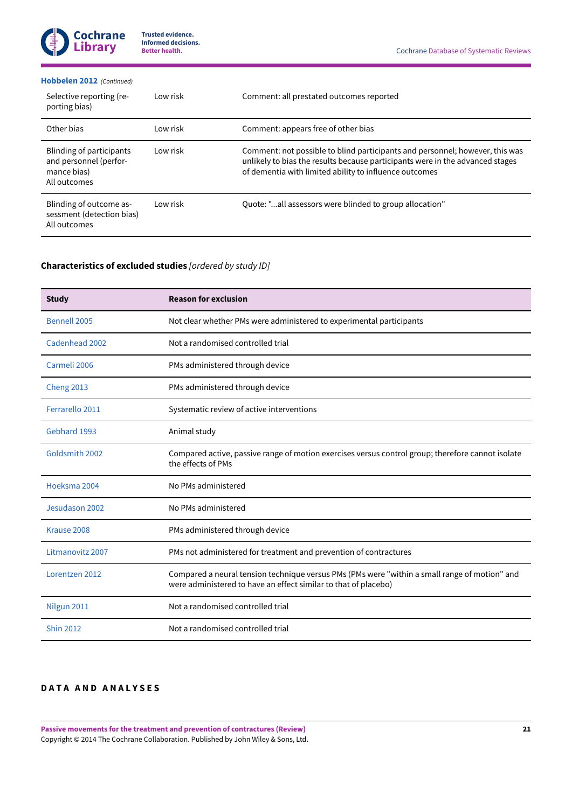# **[Hobbelen 2012](#page-16-4)**  *(Continued)*

| Selective reporting (re-<br>porting bias)                                         | Low risk | Comment: all prestated outcomes reported                                                                                                                                                                                |
|-----------------------------------------------------------------------------------|----------|-------------------------------------------------------------------------------------------------------------------------------------------------------------------------------------------------------------------------|
| Other bias                                                                        | Low risk | Comment: appears free of other bias                                                                                                                                                                                     |
| Blinding of participants<br>and personnel (perfor-<br>mance bias)<br>All outcomes | Low risk | Comment: not possible to blind participants and personnel; however, this was<br>unlikely to bias the results because participants were in the advanced stages<br>of dementia with limited ability to influence outcomes |
| Blinding of outcome as-<br>sessment (detection bias)<br>All outcomes              | Low risk | Ouote: "all assessors were blinded to group allocation"                                                                                                                                                                 |

# <span id="page-22-1"></span>**Characteristics of excluded studies** *[ordered by study ID]*

| <b>Study</b>        | <b>Reason for exclusion</b>                                                                                                                                      |
|---------------------|------------------------------------------------------------------------------------------------------------------------------------------------------------------|
| <b>Bennell 2005</b> | Not clear whether PMs were administered to experimental participants                                                                                             |
| Cadenhead 2002      | Not a randomised controlled trial                                                                                                                                |
| Carmeli 2006        | PMs administered through device                                                                                                                                  |
| <b>Cheng 2013</b>   | PMs administered through device                                                                                                                                  |
| Ferrarello 2011     | Systematic review of active interventions                                                                                                                        |
| Gebhard 1993        | Animal study                                                                                                                                                     |
| Goldsmith 2002      | Compared active, passive range of motion exercises versus control group; therefore cannot isolate<br>the effects of PMs                                          |
| Hoeksma 2004        | No PMs administered                                                                                                                                              |
| Jesudason 2002      | No PMs administered                                                                                                                                              |
| Krause 2008         | PMs administered through device                                                                                                                                  |
| Litmanovitz 2007    | PMs not administered for treatment and prevention of contractures                                                                                                |
| Lorentzen 2012      | Compared a neural tension technique versus PMs (PMs were "within a small range of motion" and<br>were administered to have an effect similar to that of placebo) |
| Nilgun 2011         | Not a randomised controlled trial                                                                                                                                |
| <b>Shin 2012</b>    | Not a randomised controlled trial                                                                                                                                |

# <span id="page-22-0"></span>**D A T A A N D A N A L Y S E S**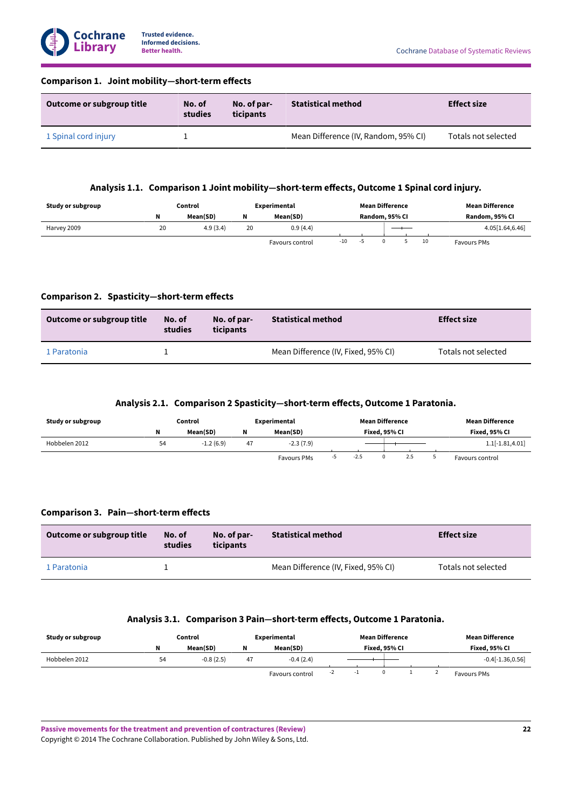# **Comparison 1. Joint mobility-short-term effects**

| Outcome or subgroup title | No. of<br>studies | No. of par-<br>ticipants | <b>Statistical method</b>            | <b>Effect size</b>  |
|---------------------------|-------------------|--------------------------|--------------------------------------|---------------------|
| 1 Spinal cord injury      |                   |                          | Mean Difference (IV, Random, 95% CI) | Totals not selected |

# **Analysis 1.1. Comparison 1 Joint mobility—short-term e8ects, Outcome 1Spinal cord injury.**

<span id="page-23-0"></span>

| Study or subgroup |    | Control  | Experimental    |          | <b>Mean Difference</b> |  |  |                |    | <b>Mean Difference</b> |
|-------------------|----|----------|-----------------|----------|------------------------|--|--|----------------|----|------------------------|
|                   |    | Mean(SD) |                 | Mean(SD) | Random, 95% CI         |  |  | Random, 95% CI |    |                        |
| Harvey 2009       | 20 | 4.9(3.4) | 20              | 0.9(4.4) |                        |  |  | $-$            |    | 4.05 [1.64, 6.46]      |
|                   |    |          | Favours control |          | $-10$                  |  |  |                | 10 | <b>Favours PMs</b>     |

# **Comparison 2. Spasticity-short-term effects**

| Outcome or subgroup title | No. of<br>studies | No. of par-<br>ticipants | <b>Statistical method</b>           | <b>Effect size</b>  |
|---------------------------|-------------------|--------------------------|-------------------------------------|---------------------|
| 1 Paratonia               |                   |                          | Mean Difference (IV, Fixed, 95% CI) | Totals not selected |

# **Analysis 2.1. Comparison 2Spasticity—short-term e8ects, Outcome 1 Paratonia.**

<span id="page-23-1"></span>

| Study or subgroup |    | Control     |    | Experimental |    |        | <b>Mean Difference</b> |     | <b>Mean Difference</b> |
|-------------------|----|-------------|----|--------------|----|--------|------------------------|-----|------------------------|
|                   |    | Mean(SD)    | N  | Mean(SD)     |    |        | Fixed. 95% CI          |     | Fixed. 95% CI          |
| Hobbelen 2012     | 54 | $-1.2(6.9)$ | 47 | $-2.3(7.9)$  |    |        | $1.1[-1.81, 4.01]$     |     |                        |
|                   |    |             |    | Favours PMs  | -2 | $-2.5$ |                        | 2.5 | Favours control        |

# **Comparison 3. Pain-short-term effects**

| Outcome or subgroup title | No. of<br>studies | No. of par-<br>ticipants | <b>Statistical method</b>           | <b>Effect size</b>  |
|---------------------------|-------------------|--------------------------|-------------------------------------|---------------------|
| 1 Paratonia               |                   |                          | Mean Difference (IV, Fixed, 95% CI) | Totals not selected |

# **Analysis 3.1. Comparison 3 Pain-short-term effects, Outcome 1 Paratonia.**

<span id="page-23-2"></span>

| Study or subgroup |    | Control     |    | Experimental    |    |  | <b>Mean Difference</b> |  | <b>Mean Difference</b> |
|-------------------|----|-------------|----|-----------------|----|--|------------------------|--|------------------------|
|                   |    | Mean(SD)    |    | Mean(SD)        |    |  | Fixed. 95% CI          |  | Fixed. 95% CI          |
| Hobbelen 2012     | 54 | $-0.8(2.5)$ | 47 | $-0.4(2.4)$     |    |  | $-0.4[-1.36, 0.56]$    |  |                        |
|                   |    |             |    | Favours control | -2 |  |                        |  | Favours PMs            |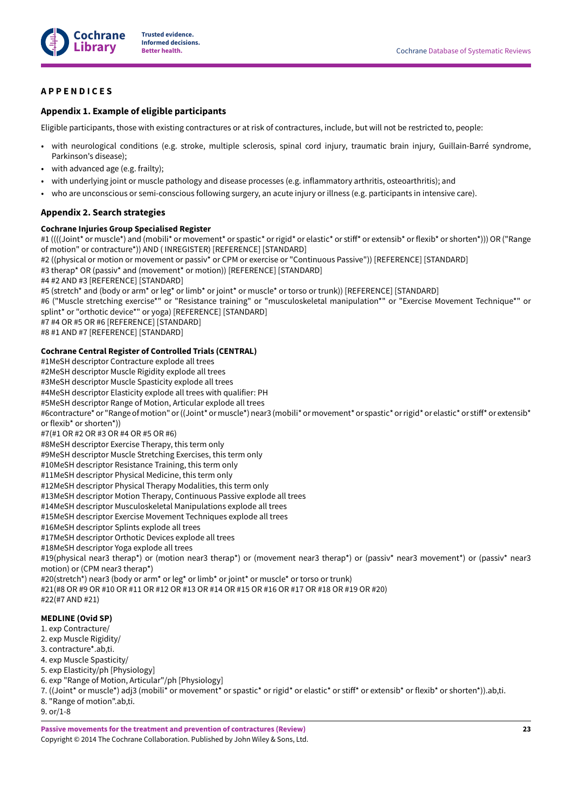

# <span id="page-24-0"></span>**A P P E N D I C E S**

# <span id="page-24-1"></span>**Appendix 1. Example of eligible participants**

Eligible participants, those with existing contractures or at risk of contractures, include, but will not be restricted to, people:

- with neurological conditions (e.g. stroke, multiple sclerosis, spinal cord injury, traumatic brain injury, Guillain-Barré syndrome, Parkinson's disease);
- with advanced age (e.g. frailty);
- with underlying joint or muscle pathology and disease processes (e.g. inflammatory arthritis, osteoarthritis); and
- who are unconscious or semi-conscious following surgery, an acute injury or illness (e.g. participants in intensive care).

# <span id="page-24-2"></span>**Appendix 2.Search strategies**

# **Cochrane Injuries Group Specialised Register**

#1 ((((Joint\* or muscle\*) and (mobili\* or movement\* or spastic\* or rigid\* or elastic\* or stiff\* or extensib\* or flexib\* or shorten\*))) OR ("Range of motion" or contracture\*)) AND ( INREGISTER) [REFERENCE] [STANDARD]

#2 ((physical or motion or movement or passiv\* or CPM or exercise or "Continuous Passive")) [REFERENCE] [STANDARD]

#3 therap\* OR (passiv\* and (movement\* or motion)) [REFERENCE] [STANDARD]

#4 #2 AND #3 [REFERENCE] [STANDARD]

#5 (stretch\* and (body or arm\* or leg\* or limb\* or joint\* or muscle\* or torso or trunk)) [REFERENCE] [STANDARD]

#6 ("Muscle stretching exercise\*" or "Resistance training" or "musculoskeletal manipulation\*" or "Exercise Movement Technique\*" or splint\* or "orthotic device\*" or yoga) [REFERENCE] [STANDARD]

#7 #4 OR #5 OR #6 [REFERENCE] [STANDARD]

#8 #1 AND #7 [REFERENCE] [STANDARD]

# **Cochrane Central Register of Controlled Trials (CENTRAL)**

#1MeSH descriptor Contracture explode all trees

#2MeSH descriptor Muscle Rigidity explode all trees

#3MeSH descriptor Muscle Spasticity explode all trees

#4MeSH descriptor Elasticity explode all trees with qualifier: PH

#5MeSH descriptor Range of Motion, Articular explode all trees

#6contracture\* or "Range of motion" or ((Joint\* or muscle\*) near3 (mobili\* or movement\* or spastic\* or rigid\* or elastic\* or stiff\* or extensib\* or flexib\* or shorten\*))

#7(#1 OR #2 OR #3 OR #4 OR #5 OR #6)

#8MeSH descriptor Exercise Therapy, this term only

#9MeSH descriptor Muscle Stretching Exercises, this term only

#10MeSH descriptor Resistance Training, this term only

#11MeSH descriptor Physical Medicine, this term only

#12MeSH descriptor Physical Therapy Modalities, this term only

#13MeSH descriptor Motion Therapy, Continuous Passive explode all trees

#14MeSH descriptor Musculoskeletal Manipulations explode all trees

#15MeSH descriptor Exercise Movement Techniques explode all trees

#16MeSH descriptor Splints explode all trees

#17MeSH descriptor Orthotic Devices explode all trees

#18MeSH descriptor Yoga explode all trees

#19(physical near3 therap\*) or (motion near3 therap\*) or (movement near3 therap\*) or (passiv\* near3 movement\*) or (passiv\* near3 motion) or (CPM near3 therap\*)

#20(stretch\*) near3 (body or arm\* or leg\* or limb\* or joint\* or muscle\* or torso or trunk)

#21(#8 OR #9 OR #10 OR #11 OR #12 OR #13 OR #14 OR #15 OR #16 OR #17 OR #18 OR #19 OR #20)

#22(#7 AND #21)

# **MEDLINE (Ovid SP)**

1. exp Contracture/

2. exp Muscle Rigidity/

- 3. contracture\*.ab,ti.
- 4. exp Muscle Spasticity/

5. exp Elasticity/ph [Physiology]

- 6. exp "Range of Motion, Articular"/ph [Physiology]
- 7. ((Joint\* or muscle\*) adj3 (mobili\* or movement\* or spastic\* or rigid\* or elastic\* or stiff\* or extensib\* or flexib\* or shorten\*)).ab,ti.
- 8. "Range of motion".ab,ti.
- 9. or/1-8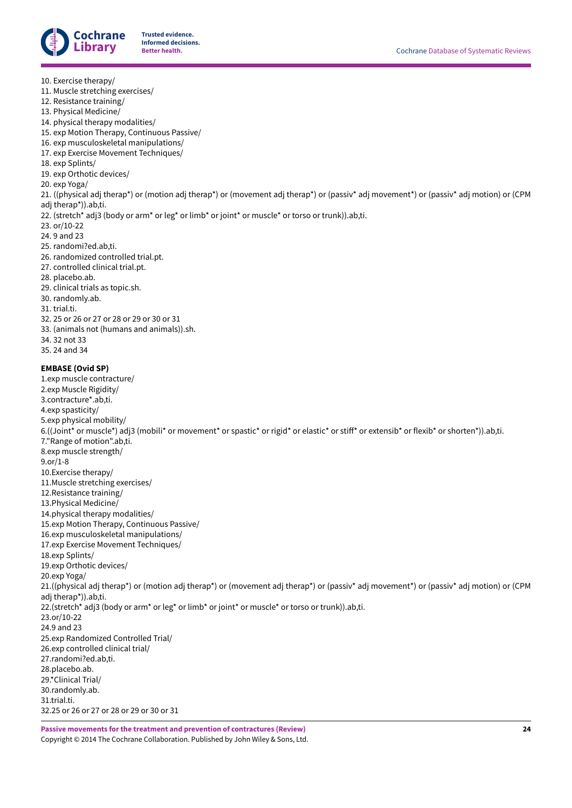

- 10. Exercise therapy/
- 11. Muscle stretching exercises/
- 12. Resistance training/
- 13. Physical Medicine/
- 14. physical therapy modalities/
- 15. exp Motion Therapy, Continuous Passive/
- 16. exp musculoskeletal manipulations/
- 17. exp Exercise Movement Techniques/
- 18. exp Splints/
- 19. exp Orthotic devices/
- 20. exp Yoga/
- 21. ((physical adj therap\*) or (motion adj therap\*) or (movement adj therap\*) or (passiv\* adj movement\*) or (passiv\* adj motion) or (CPM adj therap\*)).ab,ti.
- 22. (stretch<sup>\*</sup> adj3 (body or arm<sup>\*</sup> or leg<sup>\*</sup> or limb<sup>\*</sup> or joint<sup>\*</sup> or muscle<sup>\*</sup> or torso or trunk)).ab,ti.
- 23. or/10-22
- 24. 9 and 23
- 25. randomi?ed.ab,ti.
- 26. randomized controlled trial.pt.
- 27. controlled clinical trial.pt.
- 28. placebo.ab.
- 29. clinical trials as topic.sh.
- 30. randomly.ab.
- 31. trial.ti.
- 32. 25 or 26 or 27 or 28 or 29 or 30 or 31
- 33. (animals not (humans and animals)).sh.
- 34. 32 not 33
- 35. 24 and 34

### **EMBASE (Ovid SP)**

1.exp muscle contracture/ 2.exp Muscle Rigidity/ 3.contracture\*.ab,ti. 4.exp spasticity/ 5.exp physical mobility/ 6.((Joint\* or muscle\*) adj3 (mobili\* or movement\* or spastic\* or rigid\* or elastic\* or stiff\* or extensib\* or flexib\* or shorten\*)).ab,ti. 7."Range of motion".ab,ti. 8.exp muscle strength/ 9.or/1-8 10.Exercise therapy/ 11.Muscle stretching exercises/ 12.Resistance training/ 13.Physical Medicine/ 14.physical therapy modalities/ 15.exp Motion Therapy, Continuous Passive/ 16.exp musculoskeletal manipulations/ 17.exp Exercise Movement Techniques/ 18.exp Splints/ 19.exp Orthotic devices/ 20.exp Yoga/ 21.((physical adj therap\*) or (motion adj therap\*) or (movement adj therap\*) or (passiv\* adj movement\*) or (passiv\* adj motion) or (CPM adj therap\*)).ab,ti. 22.(stretch\* adj3 (body or arm\* or leg\* or limb\* or joint\* or muscle\* or torso or trunk)).ab,ti. 23.or/10-22 24.9 and 23 25.exp Randomized Controlled Trial/ 26.exp controlled clinical trial/ 27.randomi?ed.ab,ti. 28.placebo.ab. 29.\*Clinical Trial/ 30.randomly.ab. 31.trial.ti. 32.25 or 26 or 27 or 28 or 29 or 30 or 31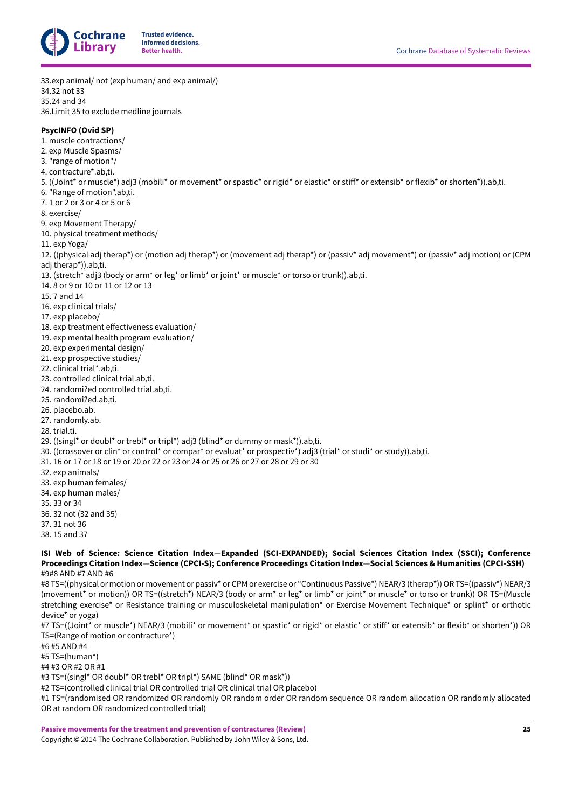

33.exp animal/ not (exp human/ and exp animal/) 34.32 not 33 35.24 and 34 36.Limit 35 to exclude medline journals

# **PsycINFO (Ovid SP)**

- 1. muscle contractions/
- 2. exp Muscle Spasms/
- 3. "range of motion"/
- 4. contracture\*.ab,ti.
- 5. ((Joint\* or muscle\*) adj3 (mobili\* or movement\* or spastic\* or rigid\* or elastic\* or stiff\* or extensib\* or flexib\* or shorten\*)).ab,ti.
- 6. "Range of motion".ab,ti.
- 7. 1 or 2 or 3 or 4 or 5 or 6
- 8. exercise/
- 9. exp Movement Therapy/
- 10. physical treatment methods/
- 11. exp Yoga/

12. ((physical adj therap\*) or (motion adj therap\*) or (movement adj therap\*) or (passiv\* adj movement\*) or (passiv\* adj motion) or (CPM adj therap\*)).ab,ti.

- 13. (stretch\* adj3 (body or arm\* or leg\* or limb\* or joint\* or muscle\* or torso or trunk)).ab,ti.
- 14. 8 or 9 or 10 or 11 or 12 or 13
- 15. 7 and 14
- 16. exp clinical trials/
- 17. exp placebo/
- 18. exp treatment effectiveness evaluation/
- 19. exp mental health program evaluation/
- 20. exp experimental design/
- 21. exp prospective studies/
- 22. clinical trial\*.ab,ti.
- 23. controlled clinical trial.ab,ti.
- 24. randomi?ed controlled trial.ab,ti.
- 25. randomi?ed.ab,ti.
- 26. placebo.ab.
- 27. randomly.ab.
- 28. trial.ti.
- 29. ((singl\* or doubl\* or trebl\* or tripl\*) adj3 (blind\* or dummy or mask\*)).ab,ti.
- 30. ((crossover or clin\* or control\* or compar\* or evaluat\* or prospectiv\*) adj3 (trial\* or studi\* or study)).ab,ti.
- 31. 16 or 17 or 18 or 19 or 20 or 22 or 23 or 24 or 25 or 26 or 27 or 28 or 29 or 30
- 32. exp animals/
- 33. exp human females/
- 34. exp human males/
- 35. 33 or 34
- 36. 32 not (32 and 35)
- 37. 31 not 36
- 38. 15 and 37

#### **ISI Web of Science: Science Citation Index**—**Expanded (SCI-EXPANDED); Social Sciences Citation Index (SSCI); Conference Proceedings Citation Index**—**Science (CPCI-S); Conference Proceedings Citation Index**—**Social Sciences & Humanities (CPCI-SSH)** #9#8 AND #7 AND #6

#8 TS=((physical or motion or movement or passiv\* or CPM or exercise or "Continuous Passive") NEAR/3 (therap\*)) OR TS=((passiv\*) NEAR/3 (movement\* or motion)) OR TS=((stretch\*) NEAR/3 (body or arm\* or leg\* or limb\* or joint\* or muscle\* or torso or trunk)) OR TS=(Muscle stretching exercise\* or Resistance training or musculoskeletal manipulation\* or Exercise Movement Technique\* or splint\* or orthotic device\* or yoga)

#7 TS=((Joint\* or muscle\*) NEAR/3 (mobili\* or movement\* or spastic\* or rigid\* or elastic\* or stiff\* or extensib\* or flexib\* or shorten\*)) OR TS=(Range of motion or contracture\*)

#6 #5 AND #4

#5 TS=(human\*)

#4 #3 OR #2 OR #1

#3 TS=((singl\* OR doubl\* OR trebl\* OR tripl\*) SAME (blind\* OR mask\*))

#2 TS=(controlled clinical trial OR controlled trial OR clinical trial OR placebo)

#1 TS=(randomised OR randomized OR randomly OR random order OR random sequence OR random allocation OR randomly allocated OR at random OR randomized controlled trial)